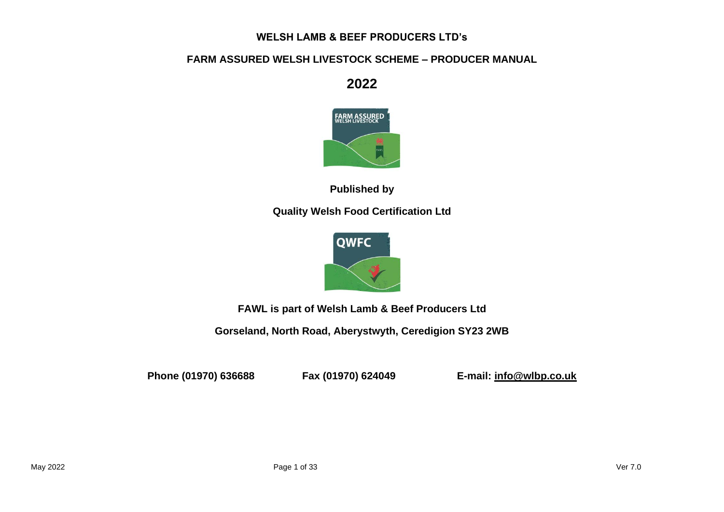# **WELSH LAMB & BEEF PRODUCERS LTD's**

# **FARM ASSURED WELSH LIVESTOCK SCHEME – PRODUCER MANUAL**

**2022**



**Published by**

**Quality Welsh Food Certification Ltd**



**FAWL is part of Welsh Lamb & Beef Producers Ltd**

**Gorseland, North Road, Aberystwyth, Ceredigion SY23 2WB**

**Phone (01970) 636688 Fax (01970) 624049 E-mail: info@wlbp.co.uk**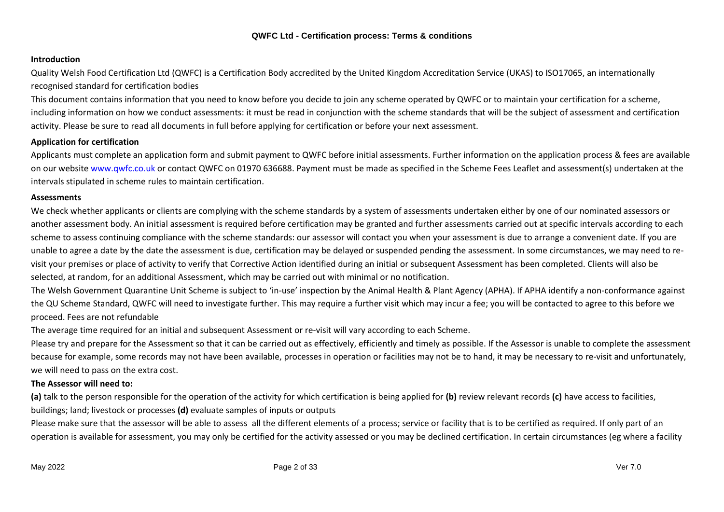## **Introduction**

Quality Welsh Food Certification Ltd (QWFC) is a Certification Body accredited by the United Kingdom Accreditation Service (UKAS) to ISO17065, an internationally recognised standard for certification bodies

This document contains information that you need to know before you decide to join any scheme operated by QWFC or to maintain your certification for a scheme, including information on how we conduct assessments: it must be read in conjunction with the scheme standards that will be the subject of assessment and certification activity. Please be sure to read all documents in full before applying for certification or before your next assessment.

## **Application for certification**

Applicants must complete an application form and submit payment to QWFC before initial assessments. Further information on the application process & fees are available on our website www.qwfc.co.uk or contact QWFC on 01970 636688. Payment must be made as specified in the Scheme Fees Leaflet and assessment(s) undertaken at the intervals stipulated in scheme rules to maintain certification.

## **Assessments**

We check whether applicants or clients are complying with the scheme standards by a system of assessments undertaken either by one of our nominated assessors or another assessment body. An initial assessment is required before certification may be granted and further assessments carried out at specific intervals according to each scheme to assess continuing compliance with the scheme standards: our assessor will contact you when your assessment is due to arrange a convenient date. If you are unable to agree a date by the date the assessment is due, certification may be delayed or suspended pending the assessment. In some circumstances, we may need to revisit your premises or place of activity to verify that Corrective Action identified during an initial or subsequent Assessment has been completed. Clients will also be selected, at random, for an additional Assessment, which may be carried out with minimal or no notification.

The Welsh Government Quarantine Unit Scheme is subject to 'in-use' inspection by the Animal Health & Plant Agency (APHA). If APHA identify a non-conformance against the QU Scheme Standard, QWFC will need to investigate further. This may require a further visit which may incur a fee; you will be contacted to agree to this before we proceed. Fees are not refundable

The average time required for an initial and subsequent Assessment or re-visit will vary according to each Scheme.

Please try and prepare for the Assessment so that it can be carried out as effectively, efficiently and timely as possible. If the Assessor is unable to complete the assessment because for example, some records may not have been available, processes in operation or facilities may not be to hand, it may be necessary to re-visit and unfortunately, we will need to pass on the extra cost.

## **The Assessor will need to:**

**(a)** talk to the person responsible for the operation of the activity for which certification is being applied for **(b)** review relevant records **(c)** have access to facilities, buildings; land; livestock or processes **(d)** evaluate samples of inputs or outputs

Please make sure that the assessor will be able to assess all the different elements of a process; service or facility that is to be certified as required. If only part of an operation is available for assessment, you may only be certified for the activity assessed or you may be declined certification. In certain circumstances (eg where a facility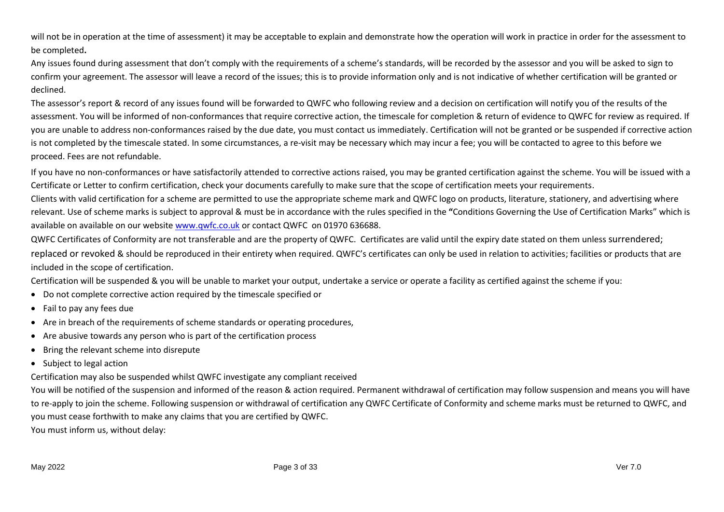will not be in operation at the time of assessment) it may be acceptable to explain and demonstrate how the operation will work in practice in order for the assessment to be completed**.**

Any issues found during assessment that don't comply with the requirements of a scheme's standards, will be recorded by the assessor and you will be asked to sign to confirm your agreement. The assessor will leave a record of the issues; this is to provide information only and is not indicative of whether certification will be granted or declined.

The assessor's report & record of any issues found will be forwarded to QWFC who following review and a decision on certification will notify you of the results of the assessment. You will be informed of non-conformances that require corrective action, the timescale for completion & return of evidence to QWFC for review as required. If you are unable to address non-conformances raised by the due date, you must contact us immediately. Certification will not be granted or be suspended if corrective action is not completed by the timescale stated. In some circumstances, a re-visit may be necessary which may incur a fee; you will be contacted to agree to this before we proceed. Fees are not refundable.

If you have no non-conformances or have satisfactorily attended to corrective actions raised, you may be granted certification against the scheme. You will be issued with a Certificate or Letter to confirm certification, check your documents carefully to make sure that the scope of certification meets your requirements.

Clients with valid certification for a scheme are permitted to use the appropriate scheme mark and QWFC logo on products, literature, stationery, and advertising where relevant. Use of scheme marks is subject to approval & must be in accordance with the rules specified in the **"**Conditions Governing the Use of Certification Marks" which is available on available on our website www.qwfc.co.uk or contact QWFC on 01970 636688.

QWFC Certificates of Conformity are not transferable and are the property of QWFC. Certificates are valid until the expiry date stated on them unless surrendered;

replaced or revoked & should be reproduced in their entirety when required. QWFC's certificates can only be used in relation to activities; facilities or products that are included in the scope of certification.

Certification will be suspended & you will be unable to market your output, undertake a service or operate a facility as certified against the scheme if you:

- Do not complete corrective action required by the timescale specified or
- Fail to pay any fees due
- Are in breach of the requirements of scheme standards or operating procedures,
- Are abusive towards any person who is part of the certification process
- Bring the relevant scheme into disrepute
- Subject to legal action

Certification may also be suspended whilst QWFC investigate any compliant received

You will be notified of the suspension and informed of the reason & action required. Permanent withdrawal of certification may follow suspension and means you will have to re-apply to join the scheme. Following suspension or withdrawal of certification any QWFC Certificate of Conformity and scheme marks must be returned to QWFC, and you must cease forthwith to make any claims that you are certified by QWFC.

You must inform us, without delay: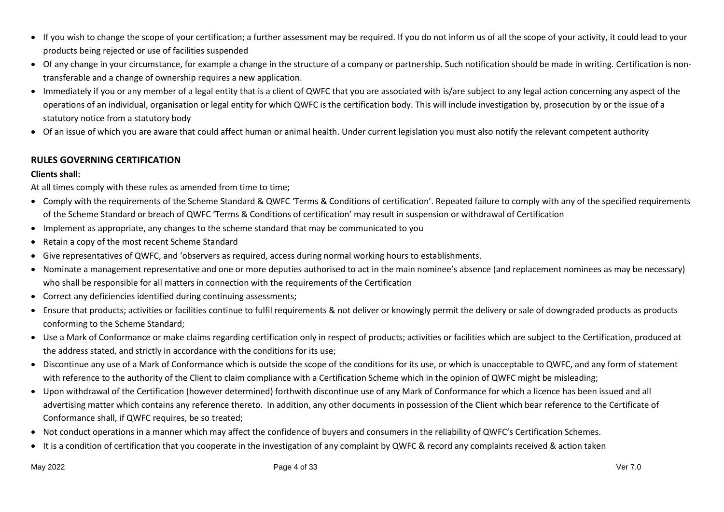- If you wish to change the scope of your certification; a further assessment may be required. If you do not inform us of all the scope of your activity, it could lead to your products being rejected or use of facilities suspended
- Of any change in your circumstance, for example a change in the structure of a company or partnership. Such notification should be made in writing. Certification is nontransferable and a change of ownership requires a new application.
- Immediately if you or any member of a legal entity that is a client of QWFC that you are associated with is/are subject to any legal action concerning any aspect of the operations of an individual, organisation or legal entity for which QWFC is the certification body. This will include investigation by, prosecution by or the issue of a statutory notice from a statutory body
- Of an issue of which you are aware that could affect human or animal health. Under current legislation you must also notify the relevant competent authority

## **RULES GOVERNING CERTIFICATION**

## **Clients shall:**

At all times comply with these rules as amended from time to time;

- Comply with the requirements of the Scheme Standard & QWFC 'Terms & Conditions of certification'. Repeated failure to comply with any of the specified requirements of the Scheme Standard or breach of QWFC 'Terms & Conditions of certification' may result in suspension or withdrawal of Certification
- Implement as appropriate, any changes to the scheme standard that may be communicated to you
- Retain a copy of the most recent Scheme Standard
- Give representatives of QWFC, and 'observers as required, access during normal working hours to establishments.
- Nominate a management representative and one or more deputies authorised to act in the main nominee's absence (and replacement nominees as may be necessary) who shall be responsible for all matters in connection with the requirements of the Certification
- Correct any deficiencies identified during continuing assessments;
- Ensure that products; activities or facilities continue to fulfil requirements & not deliver or knowingly permit the delivery or sale of downgraded products as products conforming to the Scheme Standard;
- Use a Mark of Conformance or make claims regarding certification only in respect of products; activities or facilities which are subject to the Certification, produced at the address stated, and strictly in accordance with the conditions for its use;
- Discontinue any use of a Mark of Conformance which is outside the scope of the conditions for its use, or which is unacceptable to QWFC, and any form of statement with reference to the authority of the Client to claim compliance with a Certification Scheme which in the opinion of QWFC might be misleading;
- Upon withdrawal of the Certification (however determined) forthwith discontinue use of any Mark of Conformance for which a licence has been issued and all advertising matter which contains any reference thereto. In addition, any other documents in possession of the Client which bear reference to the Certificate of Conformance shall, if QWFC requires, be so treated;
- Not conduct operations in a manner which may affect the confidence of buyers and consumers in the reliability of QWFC's Certification Schemes.
- It is a condition of certification that you cooperate in the investigation of any complaint by QWFC & record any complaints received & action taken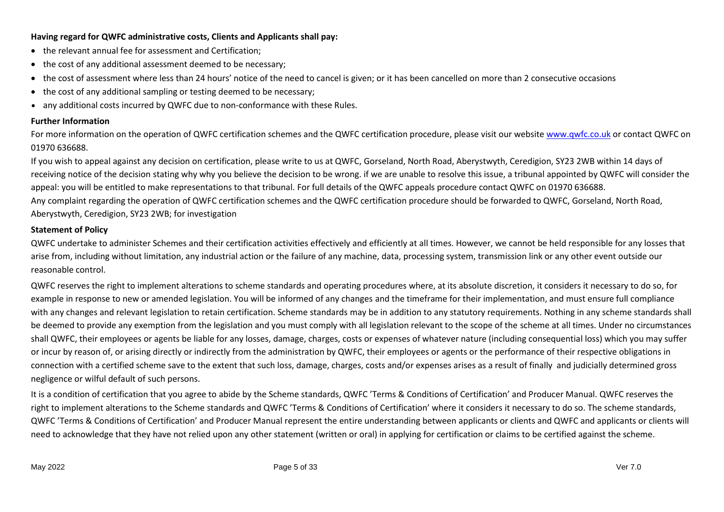## **Having regard for QWFC administrative costs, Clients and Applicants shall pay:**

- the relevant annual fee for assessment and Certification;
- the cost of any additional assessment deemed to be necessary;
- the cost of assessment where less than 24 hours' notice of the need to cancel is given; or it has been cancelled on more than 2 consecutive occasions
- the cost of any additional sampling or testing deemed to be necessary;
- any additional costs incurred by QWFC due to non-conformance with these Rules.

## **Further Information**

For more information on the operation of QWFC certification schemes and the QWFC certification procedure, please visit our website www.qwfc.co.uk or contact QWFC on 01970 636688.

If you wish to appeal against any decision on certification, please write to us at QWFC, Gorseland, North Road, Aberystwyth, Ceredigion, SY23 2WB within 14 days of receiving notice of the decision stating why why you believe the decision to be wrong. if we are unable to resolve this issue, a tribunal appointed by QWFC will consider the appeal: you will be entitled to make representations to that tribunal. For full details of the QWFC appeals procedure contact QWFC on 01970 636688. Any complaint regarding the operation of QWFC certification schemes and the QWFC certification procedure should be forwarded to QWFC, Gorseland, North Road, Aberystwyth, Ceredigion, SY23 2WB; for investigation

## **Statement of Policy**

QWFC undertake to administer Schemes and their certification activities effectively and efficiently at all times. However, we cannot be held responsible for any losses that arise from, including without limitation, any industrial action or the failure of any machine, data, processing system, transmission link or any other event outside our reasonable control.

QWFC reserves the right to implement alterations to scheme standards and operating procedures where, at its absolute discretion, it considers it necessary to do so, for example in response to new or amended legislation. You will be informed of any changes and the timeframe for their implementation, and must ensure full compliance with any changes and relevant legislation to retain certification. Scheme standards may be in addition to any statutory requirements. Nothing in any scheme standards shall be deemed to provide any exemption from the legislation and you must comply with all legislation relevant to the scope of the scheme at all times. Under no circumstances shall QWFC, their employees or agents be liable for any losses, damage, charges, costs or expenses of whatever nature (including consequential loss) which you may suffer or incur by reason of, or arising directly or indirectly from the administration by QWFC, their employees or agents or the performance of their respective obligations in connection with a certified scheme save to the extent that such loss, damage, charges, costs and/or expenses arises as a result of finally and judicially determined gross negligence or wilful default of such persons.

It is a condition of certification that you agree to abide by the Scheme standards, QWFC 'Terms & Conditions of Certification' and Producer Manual. QWFC reserves the right to implement alterations to the Scheme standards and QWFC 'Terms & Conditions of Certification' where it considers it necessary to do so. The scheme standards, QWFC 'Terms & Conditions of Certification' and Producer Manual represent the entire understanding between applicants or clients and QWFC and applicants or clients will need to acknowledge that they have not relied upon any other statement (written or oral) in applying for certification or claims to be certified against the scheme.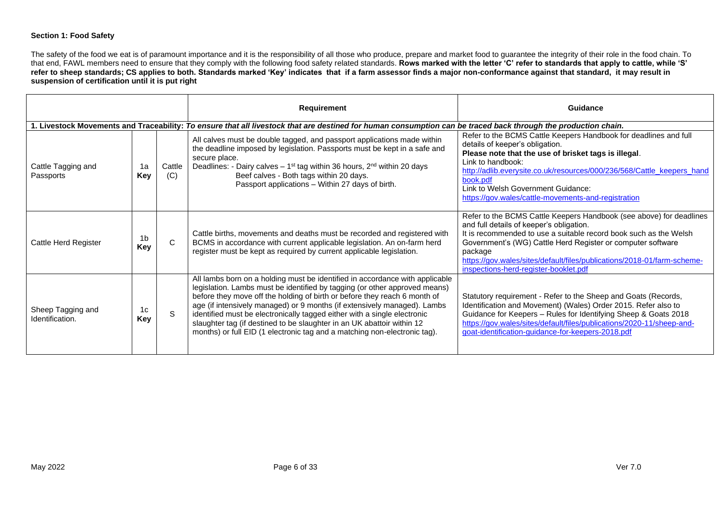#### **Section 1: Food Safety**

The safety of the food we eat is of paramount importance and it is the responsibility of all those who produce, prepare and market food to guarantee the integrity of their role in the food chain. To that end, FAWL members need to ensure that they comply with the following food safety related standards. **Rows marked with the letter 'C' refer to standards that apply to cattle, while 'S' refer to sheep standards; CS applies to both. Standards marked 'Key' indicates that if a farm assessor finds a major non-conformance against that standard, it may result in suspension of certification until it is put right**

|                                      |                       |               | Requirement                                                                                                                                                                                                                                                                                                                                                                                                                                                                                                                                            | Guidance                                                                                                                                                                                                                                                                                                                                                                           |
|--------------------------------------|-----------------------|---------------|--------------------------------------------------------------------------------------------------------------------------------------------------------------------------------------------------------------------------------------------------------------------------------------------------------------------------------------------------------------------------------------------------------------------------------------------------------------------------------------------------------------------------------------------------------|------------------------------------------------------------------------------------------------------------------------------------------------------------------------------------------------------------------------------------------------------------------------------------------------------------------------------------------------------------------------------------|
|                                      |                       |               | 1. Livestock Movements and Traceability: To ensure that all livestock that are destined for human consumption can be traced back through the production chain.                                                                                                                                                                                                                                                                                                                                                                                         |                                                                                                                                                                                                                                                                                                                                                                                    |
| Cattle Tagging and<br>Passports      | 1a<br>Key             | Cattle<br>(C) | All calves must be double tagged, and passport applications made within<br>the deadline imposed by legislation. Passports must be kept in a safe and<br>secure place.<br>Deadlines: - Dairy calves $-1$ <sup>st</sup> tag within 36 hours, 2 <sup>nd</sup> within 20 days<br>Beef calves - Both tags within 20 days.<br>Passport applications - Within 27 days of birth.                                                                                                                                                                               | Refer to the BCMS Cattle Keepers Handbook for deadlines and full<br>details of keeper's obligation.<br>Please note that the use of brisket tags is illegal.<br>Link to handbook:<br>http://adlib.everysite.co.uk/resources/000/236/568/Cattle keepers hand<br>book.pdf<br>Link to Welsh Government Guidance:<br>https://gov.wales/cattle-movements-and-registration                |
| Cattle Herd Register                 | 1 <sub>b</sub><br>Key | C             | Cattle births, movements and deaths must be recorded and registered with<br>BCMS in accordance with current applicable legislation. An on-farm herd<br>register must be kept as required by current applicable legislation.                                                                                                                                                                                                                                                                                                                            | Refer to the BCMS Cattle Keepers Handbook (see above) for deadlines<br>and full details of keeper's obligation.<br>It is recommended to use a suitable record book such as the Welsh<br>Government's (WG) Cattle Herd Register or computer software<br>package<br>https://gov.wales/sites/default/files/publications/2018-01/farm-scheme-<br>inspections-herd-register-booklet.pdf |
| Sheep Tagging and<br>Identification. | 1c<br>Key             | S             | All lambs born on a holding must be identified in accordance with applicable<br>legislation. Lambs must be identified by tagging (or other approved means)<br>before they move off the holding of birth or before they reach 6 month of<br>age (if intensively managed) or 9 months (if extensively managed). Lambs<br>identified must be electronically tagged either with a single electronic<br>slaughter tag (if destined to be slaughter in an UK abattoir within 12<br>months) or full EID (1 electronic tag and a matching non-electronic tag). | Statutory requirement - Refer to the Sheep and Goats (Records,<br>Identification and Movement) (Wales) Order 2015. Refer also to<br>Guidance for Keepers - Rules for Identifying Sheep & Goats 2018<br>https://gov.wales/sites/default/files/publications/2020-11/sheep-and-<br>goat-identification-guidance-for-keepers-2018.pdf                                                  |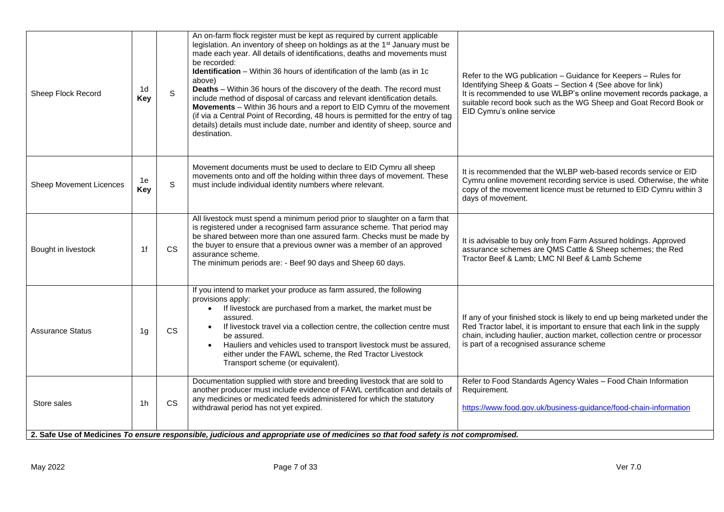| Sheep Flock Record      | 1d<br><b>Key</b> | $\mathbf S$ | An on-farm flock register must be kept as required by current applicable<br>legislation. An inventory of sheep on holdings as at the 1 <sup>st</sup> January must be<br>made each year. All details of identifications, deaths and movements must<br>be recorded:<br><b>Identification</b> – Within 36 hours of identification of the lamb (as in 1c<br>above)<br>Deaths - Within 36 hours of the discovery of the death. The record must<br>include method of disposal of carcass and relevant identification details.<br>Movements - Within 36 hours and a report to EID Cymru of the movement<br>(if via a Central Point of Recording, 48 hours is permitted for the entry of tag<br>details) details must include date, number and identity of sheep, source and<br>destination. | Refer to the WG publication - Guidance for Keepers - Rules for<br>Identifying Sheep & Goats - Section 4 (See above for link)<br>It is recommended to use WLBP's online movement records package, a<br>suitable record book such as the WG Sheep and Goat Record Book or<br>EID Cymru's online service |
|-------------------------|------------------|-------------|--------------------------------------------------------------------------------------------------------------------------------------------------------------------------------------------------------------------------------------------------------------------------------------------------------------------------------------------------------------------------------------------------------------------------------------------------------------------------------------------------------------------------------------------------------------------------------------------------------------------------------------------------------------------------------------------------------------------------------------------------------------------------------------|-------------------------------------------------------------------------------------------------------------------------------------------------------------------------------------------------------------------------------------------------------------------------------------------------------|
| Sheep Movement Licences | 1e<br><b>Key</b> | S           | Movement documents must be used to declare to EID Cymru all sheep<br>movements onto and off the holding within three days of movement. These<br>must include individual identity numbers where relevant.                                                                                                                                                                                                                                                                                                                                                                                                                                                                                                                                                                             | It is recommended that the WLBP web-based records service or EID<br>Cymru online movement recording service is used. Otherwise, the white<br>copy of the movement licence must be returned to EID Cymru within 3<br>days of movement.                                                                 |
| Bought in livestock     | 1f               | <b>CS</b>   | All livestock must spend a minimum period prior to slaughter on a farm that<br>is registered under a recognised farm assurance scheme. That period may<br>be shared between more than one assured farm. Checks must be made by<br>the buyer to ensure that a previous owner was a member of an approved<br>assurance scheme.<br>The minimum periods are: - Beef 90 days and Sheep 60 days.                                                                                                                                                                                                                                                                                                                                                                                           | It is advisable to buy only from Farm Assured holdings. Approved<br>assurance schemes are QMS Cattle & Sheep schemes; the Red<br>Tractor Beef & Lamb; LMC NI Beef & Lamb Scheme                                                                                                                       |
| <b>Assurance Status</b> | 1g               | <b>CS</b>   | If you intend to market your produce as farm assured, the following<br>provisions apply:<br>If livestock are purchased from a market, the market must be<br>$\bullet$<br>assured.<br>If livestock travel via a collection centre, the collection centre must<br>be assured.<br>Hauliers and vehicles used to transport livestock must be assured,<br>either under the FAWL scheme, the Red Tractor Livestock<br>Transport scheme (or equivalent).                                                                                                                                                                                                                                                                                                                                    | If any of your finished stock is likely to end up being marketed under the<br>Red Tractor label, it is important to ensure that each link in the supply<br>chain, including haulier, auction market, collection centre or processor<br>is part of a recognised assurance scheme                       |
| Store sales             | 1 <sub>h</sub>   | <b>CS</b>   | Documentation supplied with store and breeding livestock that are sold to<br>another producer must include evidence of FAWL certification and details of<br>any medicines or medicated feeds administered for which the statutory<br>withdrawal period has not yet expired.                                                                                                                                                                                                                                                                                                                                                                                                                                                                                                          | Refer to Food Standards Agency Wales - Food Chain Information<br>Requirement.<br>https://www.food.gov.uk/business-guidance/food-chain-information                                                                                                                                                     |
|                         |                  |             | 2. Safe Use of Medicines To ensure responsible, judicious and appropriate use of medicines so that food safety is not compromised.                                                                                                                                                                                                                                                                                                                                                                                                                                                                                                                                                                                                                                                   |                                                                                                                                                                                                                                                                                                       |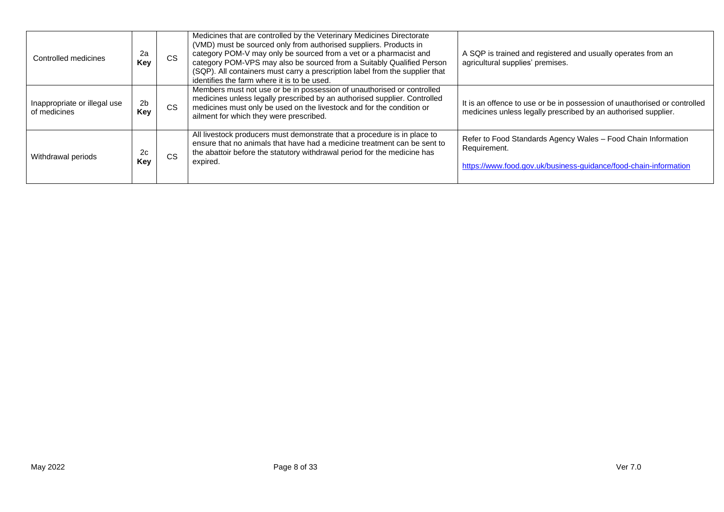| Controlled medicines                         | 2a<br>Key             | <b>CS</b> | Medicines that are controlled by the Veterinary Medicines Directorate<br>(VMD) must be sourced only from authorised suppliers. Products in<br>category POM-V may only be sourced from a vet or a pharmacist and<br>category POM-VPS may also be sourced from a Suitably Qualified Person<br>(SQP). All containers must carry a prescription label from the supplier that<br>identifies the farm where it is to be used. | A SQP is trained and registered and usually operates from an<br>agricultural supplies' premises.                                                  |
|----------------------------------------------|-----------------------|-----------|-------------------------------------------------------------------------------------------------------------------------------------------------------------------------------------------------------------------------------------------------------------------------------------------------------------------------------------------------------------------------------------------------------------------------|---------------------------------------------------------------------------------------------------------------------------------------------------|
| Inappropriate or illegal use<br>of medicines | 2 <sub>b</sub><br>Key | <b>CS</b> | Members must not use or be in possession of unauthorised or controlled<br>medicines unless legally prescribed by an authorised supplier. Controlled<br>medicines must only be used on the livestock and for the condition or<br>ailment for which they were prescribed.                                                                                                                                                 | It is an offence to use or be in possession of unauthorised or controlled<br>medicines unless legally prescribed by an authorised supplier.       |
| Withdrawal periods                           | 2c<br>Kev             | <b>CS</b> | All livestock producers must demonstrate that a procedure is in place to<br>ensure that no animals that have had a medicine treatment can be sent to<br>the abattoir before the statutory withdrawal period for the medicine has<br>expired.                                                                                                                                                                            | Refer to Food Standards Agency Wales - Food Chain Information<br>Requirement.<br>https://www.food.gov.uk/business-guidance/food-chain-information |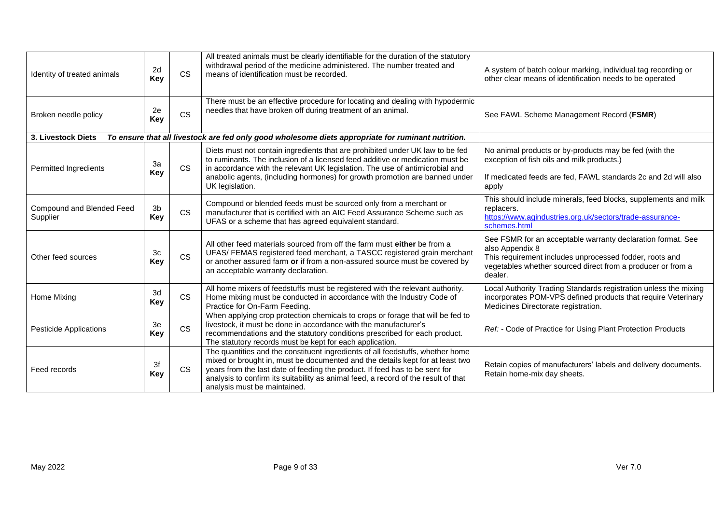| Identity of treated animals           | 2d<br><b>Key</b>      | <b>CS</b> | All treated animals must be clearly identifiable for the duration of the statutory<br>withdrawal period of the medicine administered. The number treated and<br>means of identification must be recorded.                                                                                                                                                            | A system of batch colour marking, individual tag recording or<br>other clear means of identification needs to be operated                                                                                           |
|---------------------------------------|-----------------------|-----------|----------------------------------------------------------------------------------------------------------------------------------------------------------------------------------------------------------------------------------------------------------------------------------------------------------------------------------------------------------------------|---------------------------------------------------------------------------------------------------------------------------------------------------------------------------------------------------------------------|
| Broken needle policy                  | 2e<br>Key             | <b>CS</b> | There must be an effective procedure for locating and dealing with hypodermic<br>needles that have broken off during treatment of an animal.                                                                                                                                                                                                                         | See FAWL Scheme Management Record (FSMR)                                                                                                                                                                            |
| 3. Livestock Diets                    |                       |           | To ensure that all livestock are fed only good wholesome diets appropriate for ruminant nutrition.                                                                                                                                                                                                                                                                   |                                                                                                                                                                                                                     |
| Permitted Ingredients                 | 3a<br>Key             | <b>CS</b> | Diets must not contain ingredients that are prohibited under UK law to be fed<br>to ruminants. The inclusion of a licensed feed additive or medication must be<br>in accordance with the relevant UK legislation. The use of antimicrobial and<br>anabolic agents, (including hormones) for growth promotion are banned under<br>UK legislation.                     | No animal products or by-products may be fed (with the<br>exception of fish oils and milk products.)<br>If medicated feeds are fed, FAWL standards 2c and 2d will also<br>apply                                     |
| Compound and Blended Feed<br>Supplier | 3 <sub>b</sub><br>Key | <b>CS</b> | Compound or blended feeds must be sourced only from a merchant or<br>manufacturer that is certified with an AIC Feed Assurance Scheme such as<br>UFAS or a scheme that has agreed equivalent standard.                                                                                                                                                               | This should include minerals, feed blocks, supplements and milk<br>replacers.<br>https://www.agindustries.org.uk/sectors/trade-assurance-<br>schemes.html                                                           |
| Other feed sources                    | 3c<br><b>Key</b>      | CS        | All other feed materials sourced from off the farm must either be from a<br>UFAS/ FEMAS registered feed merchant, a TASCC registered grain merchant<br>or another assured farm or if from a non-assured source must be covered by<br>an acceptable warranty declaration.                                                                                             | See FSMR for an acceptable warranty declaration format. See<br>also Appendix 8<br>This requirement includes unprocessed fodder, roots and<br>vegetables whether sourced direct from a producer or from a<br>dealer. |
| Home Mixing                           | 3d<br>Key             | <b>CS</b> | All home mixers of feedstuffs must be registered with the relevant authority.<br>Home mixing must be conducted in accordance with the Industry Code of<br>Practice for On-Farm Feeding.                                                                                                                                                                              | Local Authority Trading Standards registration unless the mixing<br>incorporates POM-VPS defined products that require Veterinary<br>Medicines Directorate registration.                                            |
| <b>Pesticide Applications</b>         | 3e<br><b>Key</b>      | <b>CS</b> | When applying crop protection chemicals to crops or forage that will be fed to<br>livestock, it must be done in accordance with the manufacturer's<br>recommendations and the statutory conditions prescribed for each product.<br>The statutory records must be kept for each application.                                                                          | Ref: - Code of Practice for Using Plant Protection Products                                                                                                                                                         |
| Feed records                          | 3f<br><b>Key</b>      | <b>CS</b> | The quantities and the constituent ingredients of all feedstuffs, whether home<br>mixed or brought in, must be documented and the details kept for at least two<br>years from the last date of feeding the product. If feed has to be sent for<br>analysis to confirm its suitability as animal feed, a record of the result of that<br>analysis must be maintained. | Retain copies of manufacturers' labels and delivery documents.<br>Retain home-mix day sheets.                                                                                                                       |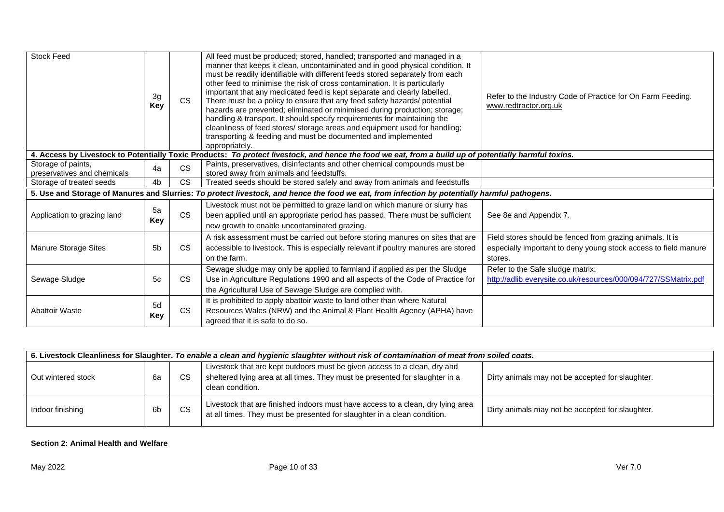| <b>Stock Feed</b>                                 | 3g<br>Key        | <b>CS</b>              | All feed must be produced; stored, handled; transported and managed in a<br>manner that keeps it clean, uncontaminated and in good physical condition. It<br>must be readily identifiable with different feeds stored separately from each<br>other feed to minimise the risk of cross contamination. It is particularly<br>important that any medicated feed is kept separate and clearly labelled.<br>There must be a policy to ensure that any feed safety hazards/ potential<br>hazards are prevented; eliminated or minimised during production; storage;<br>handling & transport. It should specify requirements for maintaining the<br>cleanliness of feed stores/ storage areas and equipment used for handling;<br>transporting & feeding and must be documented and implemented<br>appropriately. | Refer to the Industry Code of Practice for On Farm Feeding.<br>www.redtractor.org.uk                                                    |
|---------------------------------------------------|------------------|------------------------|-------------------------------------------------------------------------------------------------------------------------------------------------------------------------------------------------------------------------------------------------------------------------------------------------------------------------------------------------------------------------------------------------------------------------------------------------------------------------------------------------------------------------------------------------------------------------------------------------------------------------------------------------------------------------------------------------------------------------------------------------------------------------------------------------------------|-----------------------------------------------------------------------------------------------------------------------------------------|
|                                                   |                  |                        | 4. Access by Livestock to Potentially Toxic Products: To protect livestock, and hence the food we eat, from a build up of potentially harmful toxins.                                                                                                                                                                                                                                                                                                                                                                                                                                                                                                                                                                                                                                                       |                                                                                                                                         |
| Storage of paints,<br>preservatives and chemicals | 4a               | <b>CS</b>              | Paints, preservatives, disinfectants and other chemical compounds must be<br>stored away from animals and feedstuffs.                                                                                                                                                                                                                                                                                                                                                                                                                                                                                                                                                                                                                                                                                       |                                                                                                                                         |
| Storage of treated seeds                          | 4 <sub>b</sub>   | $\overline{\text{cs}}$ | Treated seeds should be stored safely and away from animals and feedstuffs                                                                                                                                                                                                                                                                                                                                                                                                                                                                                                                                                                                                                                                                                                                                  |                                                                                                                                         |
|                                                   |                  |                        | 5. Use and Storage of Manures and Slurries: To protect livestock, and hence the food we eat, from infection by potentially harmful pathogens.                                                                                                                                                                                                                                                                                                                                                                                                                                                                                                                                                                                                                                                               |                                                                                                                                         |
| Application to grazing land                       | 5a<br>Key        | <b>CS</b>              | Livestock must not be permitted to graze land on which manure or slurry has<br>been applied until an appropriate period has passed. There must be sufficient<br>new growth to enable uncontaminated grazing.                                                                                                                                                                                                                                                                                                                                                                                                                                                                                                                                                                                                | See 8e and Appendix 7.                                                                                                                  |
| <b>Manure Storage Sites</b>                       | 5 <sub>b</sub>   | <b>CS</b>              | A risk assessment must be carried out before storing manures on sites that are<br>accessible to livestock. This is especially relevant if poultry manures are stored<br>on the farm.                                                                                                                                                                                                                                                                                                                                                                                                                                                                                                                                                                                                                        | Field stores should be fenced from grazing animals. It is<br>especially important to deny young stock access to field manure<br>stores. |
| Sewage Sludge                                     | 5c               | <b>CS</b>              | Sewage sludge may only be applied to farmland if applied as per the Sludge<br>Use in Agriculture Regulations 1990 and all aspects of the Code of Practice for<br>the Agricultural Use of Sewage Sludge are complied with.                                                                                                                                                                                                                                                                                                                                                                                                                                                                                                                                                                                   | Refer to the Safe sludge matrix:<br>http://adlib.everysite.co.uk/resources/000/094/727/SSMatrix.pdf                                     |
| <b>Abattoir Waste</b>                             | 5d<br><b>Key</b> | <b>CS</b>              | It is prohibited to apply abattoir waste to land other than where Natural<br>Resources Wales (NRW) and the Animal & Plant Health Agency (APHA) have<br>agreed that it is safe to do so.                                                                                                                                                                                                                                                                                                                                                                                                                                                                                                                                                                                                                     |                                                                                                                                         |

| 6. Livestock Cleanliness for Slaughter. To enable a clean and hygienic slaughter without risk of contamination of meat from soiled coats. |                |           |                                                                                                                                                                               |                                                  |  |
|-------------------------------------------------------------------------------------------------------------------------------------------|----------------|-----------|-------------------------------------------------------------------------------------------------------------------------------------------------------------------------------|--------------------------------------------------|--|
| Out wintered stock                                                                                                                        | 6a             | CS        | Livestock that are kept outdoors must be given access to a clean, dry and<br>sheltered lying area at all times. They must be presented for slaughter in a<br>clean condition. | Dirty animals may not be accepted for slaughter. |  |
| Indoor finishing                                                                                                                          | 6 <sub>b</sub> | <b>CS</b> | Livestock that are finished indoors must have access to a clean, dry lying area<br>at all times. They must be presented for slaughter in a clean condition.                   | Dirty animals may not be accepted for slaughter. |  |

## **Section 2: Animal Health and Welfare**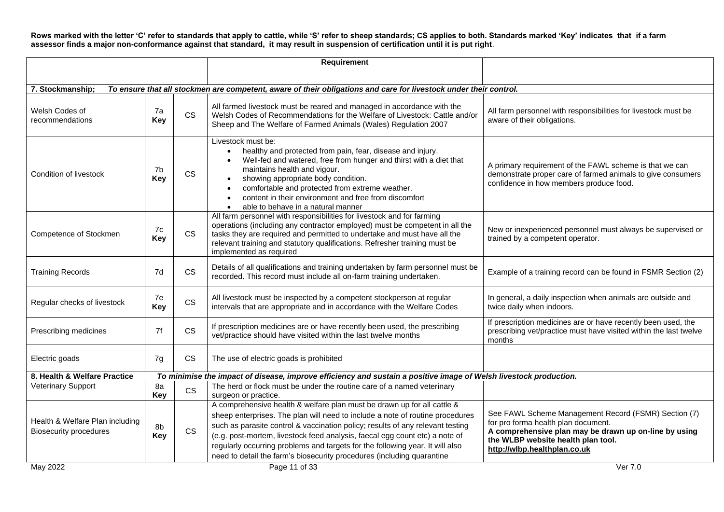**Rows marked with the letter 'C' refer to standards that apply to cattle, while 'S' refer to sheep standards; CS applies to both. Standards marked 'Key' indicates that if a farm assessor finds a major non-conformance against that standard, it may result in suspension of certification until it is put right**.

|                                                                  |                  |           | <b>Requirement</b>                                                                                                                                                                                                                                                                                                                                                                                                                                                                   |                                                                                                                                                                                                                            |
|------------------------------------------------------------------|------------------|-----------|--------------------------------------------------------------------------------------------------------------------------------------------------------------------------------------------------------------------------------------------------------------------------------------------------------------------------------------------------------------------------------------------------------------------------------------------------------------------------------------|----------------------------------------------------------------------------------------------------------------------------------------------------------------------------------------------------------------------------|
|                                                                  |                  |           |                                                                                                                                                                                                                                                                                                                                                                                                                                                                                      |                                                                                                                                                                                                                            |
| 7. Stockmanship;                                                 |                  |           | To ensure that all stockmen are competent, aware of their obligations and care for livestock under their control.                                                                                                                                                                                                                                                                                                                                                                    |                                                                                                                                                                                                                            |
| Welsh Codes of<br>recommendations                                | 7a<br>Key        | <b>CS</b> | All farmed livestock must be reared and managed in accordance with the<br>Welsh Codes of Recommendations for the Welfare of Livestock: Cattle and/or<br>Sheep and The Welfare of Farmed Animals (Wales) Regulation 2007                                                                                                                                                                                                                                                              | All farm personnel with responsibilities for livestock must be<br>aware of their obligations.                                                                                                                              |
| Condition of livestock                                           | 7b<br><b>Key</b> | <b>CS</b> | Livestock must be:<br>healthy and protected from pain, fear, disease and injury.<br>$\bullet$<br>Well-fed and watered, free from hunger and thirst with a diet that<br>maintains health and vigour.<br>showing appropriate body condition.<br>comfortable and protected from extreme weather.<br>content in their environment and free from discomfort<br>able to behave in a natural manner<br>$\bullet$                                                                            | A primary requirement of the FAWL scheme is that we can<br>demonstrate proper care of farmed animals to give consumers<br>confidence in how members produce food.                                                          |
| Competence of Stockmen                                           | 7c<br><b>Key</b> | <b>CS</b> | All farm personnel with responsibilities for livestock and for farming<br>operations (including any contractor employed) must be competent in all the<br>tasks they are required and permitted to undertake and must have all the<br>relevant training and statutory qualifications. Refresher training must be<br>implemented as required                                                                                                                                           | New or inexperienced personnel must always be supervised or<br>trained by a competent operator.                                                                                                                            |
| <b>Training Records</b>                                          | 7d               | <b>CS</b> | Details of all qualifications and training undertaken by farm personnel must be<br>recorded. This record must include all on-farm training undertaken.                                                                                                                                                                                                                                                                                                                               | Example of a training record can be found in FSMR Section (2)                                                                                                                                                              |
| Regular checks of livestock                                      | 7e<br>Key        | <b>CS</b> | All livestock must be inspected by a competent stockperson at regular<br>intervals that are appropriate and in accordance with the Welfare Codes                                                                                                                                                                                                                                                                                                                                     | In general, a daily inspection when animals are outside and<br>twice daily when indoors.                                                                                                                                   |
| Prescribing medicines                                            | 7f               | <b>CS</b> | If prescription medicines are or have recently been used, the prescribing<br>vet/practice should have visited within the last twelve months                                                                                                                                                                                                                                                                                                                                          | If prescription medicines are or have recently been used, the<br>prescribing vet/practice must have visited within the last twelve<br>months                                                                               |
| Electric goads                                                   | 7g               | <b>CS</b> | The use of electric goads is prohibited                                                                                                                                                                                                                                                                                                                                                                                                                                              |                                                                                                                                                                                                                            |
| 8. Health & Welfare Practice                                     |                  |           | To minimise the impact of disease, improve efficiency and sustain a positive image of Welsh livestock production.                                                                                                                                                                                                                                                                                                                                                                    |                                                                                                                                                                                                                            |
| <b>Veterinary Support</b>                                        | 8a<br>Key        | <b>CS</b> | The herd or flock must be under the routine care of a named veterinary<br>surgeon or practice.                                                                                                                                                                                                                                                                                                                                                                                       |                                                                                                                                                                                                                            |
| Health & Welfare Plan including<br><b>Biosecurity procedures</b> | 8b<br><b>Key</b> | <b>CS</b> | A comprehensive health & welfare plan must be drawn up for all cattle &<br>sheep enterprises. The plan will need to include a note of routine procedures<br>such as parasite control & vaccination policy; results of any relevant testing<br>(e.g. post-mortem, livestock feed analysis, faecal egg count etc) a note of<br>regularly occurring problems and targets for the following year. It will also<br>need to detail the farm's biosecurity procedures (including quarantine | See FAWL Scheme Management Record (FSMR) Section (7)<br>for pro forma health plan document.<br>A comprehensive plan may be drawn up on-line by using<br>the WLBP website health plan tool.<br>http://wlbp.healthplan.co.uk |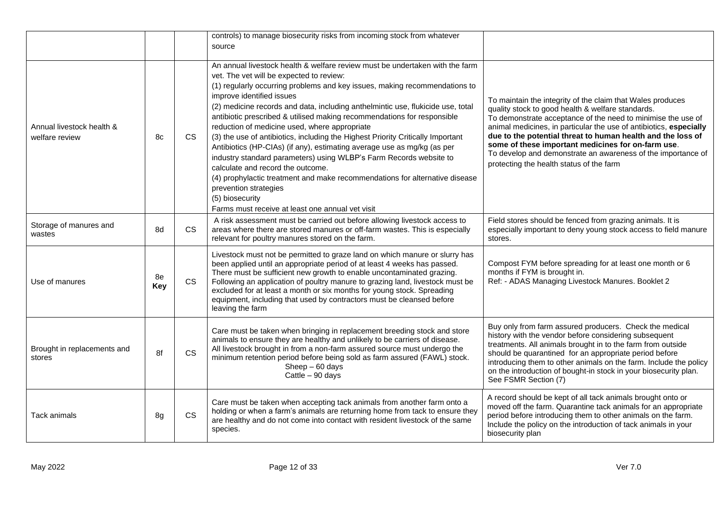|                                             |           |           | controls) to manage biosecurity risks from incoming stock from whatever<br>source                                                                                                                                                                                                                                                                                                                                                                                                                                                                                                                                                                                                                                                                                                                                                                                                                          |                                                                                                                                                                                                                                                                                                                                                                                                                                                                                        |
|---------------------------------------------|-----------|-----------|------------------------------------------------------------------------------------------------------------------------------------------------------------------------------------------------------------------------------------------------------------------------------------------------------------------------------------------------------------------------------------------------------------------------------------------------------------------------------------------------------------------------------------------------------------------------------------------------------------------------------------------------------------------------------------------------------------------------------------------------------------------------------------------------------------------------------------------------------------------------------------------------------------|----------------------------------------------------------------------------------------------------------------------------------------------------------------------------------------------------------------------------------------------------------------------------------------------------------------------------------------------------------------------------------------------------------------------------------------------------------------------------------------|
| Annual livestock health &<br>welfare review | 8c        | <b>CS</b> | An annual livestock health & welfare review must be undertaken with the farm<br>vet. The vet will be expected to review:<br>(1) regularly occurring problems and key issues, making recommendations to<br>improve identified issues<br>(2) medicine records and data, including anthelmintic use, flukicide use, total<br>antibiotic prescribed & utilised making recommendations for responsible<br>reduction of medicine used, where appropriate<br>(3) the use of antibiotics, including the Highest Priority Critically Important<br>Antibiotics (HP-CIAs) (if any), estimating average use as mg/kg (as per<br>industry standard parameters) using WLBP's Farm Records website to<br>calculate and record the outcome.<br>(4) prophylactic treatment and make recommendations for alternative disease<br>prevention strategies<br>(5) biosecurity<br>Farms must receive at least one annual vet visit | To maintain the integrity of the claim that Wales produces<br>quality stock to good health & welfare standards.<br>To demonstrate acceptance of the need to minimise the use of<br>animal medicines, in particular the use of antibiotics, especially<br>due to the potential threat to human health and the loss of<br>some of these important medicines for on-farm use.<br>To develop and demonstrate an awareness of the importance of<br>protecting the health status of the farm |
| Storage of manures and<br>wastes            | 8d        | CS        | A risk assessment must be carried out before allowing livestock access to<br>areas where there are stored manures or off-farm wastes. This is especially<br>relevant for poultry manures stored on the farm.                                                                                                                                                                                                                                                                                                                                                                                                                                                                                                                                                                                                                                                                                               | Field stores should be fenced from grazing animals. It is<br>especially important to deny young stock access to field manure<br>stores.                                                                                                                                                                                                                                                                                                                                                |
| Use of manures                              | 8e<br>Key | <b>CS</b> | Livestock must not be permitted to graze land on which manure or slurry has<br>been applied until an appropriate period of at least 4 weeks has passed.<br>There must be sufficient new growth to enable uncontaminated grazing.<br>Following an application of poultry manure to grazing land, livestock must be<br>excluded for at least a month or six months for young stock. Spreading<br>equipment, including that used by contractors must be cleansed before<br>leaving the farm                                                                                                                                                                                                                                                                                                                                                                                                                   | Compost FYM before spreading for at least one month or 6<br>months if FYM is brought in.<br>Ref: - ADAS Managing Livestock Manures. Booklet 2                                                                                                                                                                                                                                                                                                                                          |
| Brought in replacements and<br>stores       | 8f        | <b>CS</b> | Care must be taken when bringing in replacement breeding stock and store<br>animals to ensure they are healthy and unlikely to be carriers of disease.<br>All livestock brought in from a non-farm assured source must undergo the<br>minimum retention period before being sold as farm assured (FAWL) stock.<br>$Sheep - 60 days$<br>Cattle - 90 days                                                                                                                                                                                                                                                                                                                                                                                                                                                                                                                                                    | Buy only from farm assured producers. Check the medical<br>history with the vendor before considering subsequent<br>treatments. All animals brought in to the farm from outside<br>should be quarantined for an appropriate period before<br>introducing them to other animals on the farm. Include the policy<br>on the introduction of bought-in stock in your biosecurity plan.<br>See FSMR Section (7)                                                                             |
| Tack animals                                | 8g        | <b>CS</b> | Care must be taken when accepting tack animals from another farm onto a<br>holding or when a farm's animals are returning home from tack to ensure they<br>are healthy and do not come into contact with resident livestock of the same<br>species.                                                                                                                                                                                                                                                                                                                                                                                                                                                                                                                                                                                                                                                        | A record should be kept of all tack animals brought onto or<br>moved off the farm. Quarantine tack animals for an appropriate<br>period before introducing them to other animals on the farm.<br>Include the policy on the introduction of tack animals in your<br>biosecurity plan                                                                                                                                                                                                    |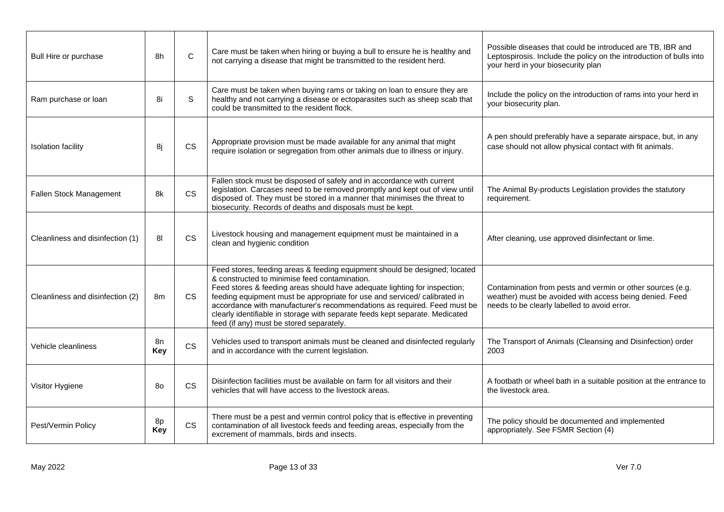| Bull Hire or purchase            | 8h             | C         | Care must be taken when hiring or buying a bull to ensure he is healthy and<br>not carrying a disease that might be transmitted to the resident herd.                                                                                                                                                                                                                                                                                                                                         | Possible diseases that could be introduced are TB, IBR and<br>Leptospirosis. Include the policy on the introduction of bulls into<br>your herd in your biosecurity plan |
|----------------------------------|----------------|-----------|-----------------------------------------------------------------------------------------------------------------------------------------------------------------------------------------------------------------------------------------------------------------------------------------------------------------------------------------------------------------------------------------------------------------------------------------------------------------------------------------------|-------------------------------------------------------------------------------------------------------------------------------------------------------------------------|
| Ram purchase or loan             | 8i             | S         | Care must be taken when buying rams or taking on loan to ensure they are<br>healthy and not carrying a disease or ectoparasites such as sheep scab that<br>could be transmitted to the resident flock.                                                                                                                                                                                                                                                                                        | Include the policy on the introduction of rams into your herd in<br>your biosecurity plan.                                                                              |
| <b>Isolation facility</b>        | 8i             | <b>CS</b> | Appropriate provision must be made available for any animal that might<br>require isolation or segregation from other animals due to illness or injury.                                                                                                                                                                                                                                                                                                                                       | A pen should preferably have a separate airspace, but, in any<br>case should not allow physical contact with fit animals.                                               |
| Fallen Stock Management          | 8k             | <b>CS</b> | Fallen stock must be disposed of safely and in accordance with current<br>legislation. Carcases need to be removed promptly and kept out of view until<br>disposed of. They must be stored in a manner that minimises the threat to<br>biosecurity. Records of deaths and disposals must be kept.                                                                                                                                                                                             | The Animal By-products Legislation provides the statutory<br>requirement.                                                                                               |
| Cleanliness and disinfection (1) | 8 <sub>l</sub> | <b>CS</b> | Livestock housing and management equipment must be maintained in a<br>clean and hygienic condition                                                                                                                                                                                                                                                                                                                                                                                            | After cleaning, use approved disinfectant or lime.                                                                                                                      |
| Cleanliness and disinfection (2) | 8m             | <b>CS</b> | Feed stores, feeding areas & feeding equipment should be designed; located<br>& constructed to minimise feed contamination.<br>Feed stores & feeding areas should have adequate lighting for inspection;<br>feeding equipment must be appropriate for use and serviced/ calibrated in<br>accordance with manufacturer's recommendations as required. Feed must be<br>clearly identifiable in storage with separate feeds kept separate. Medicated<br>feed (if any) must be stored separately. | Contamination from pests and vermin or other sources (e.g.<br>weather) must be avoided with access being denied. Feed<br>needs to be clearly labelled to avoid error.   |
| Vehicle cleanliness              | 8n<br>Key      | CS        | Vehicles used to transport animals must be cleaned and disinfected regularly<br>and in accordance with the current legislation.                                                                                                                                                                                                                                                                                                                                                               | The Transport of Animals (Cleansing and Disinfection) order<br>2003                                                                                                     |
| Visitor Hygiene                  | 80             | <b>CS</b> | Disinfection facilities must be available on farm for all visitors and their<br>vehicles that will have access to the livestock areas.                                                                                                                                                                                                                                                                                                                                                        | A footbath or wheel bath in a suitable position at the entrance to<br>the livestock area.                                                                               |
| Pest/Vermin Policy               | 8p<br>Key      | <b>CS</b> | There must be a pest and vermin control policy that is effective in preventing<br>contamination of all livestock feeds and feeding areas, especially from the<br>excrement of mammals, birds and insects.                                                                                                                                                                                                                                                                                     | The policy should be documented and implemented<br>appropriately. See FSMR Section (4)                                                                                  |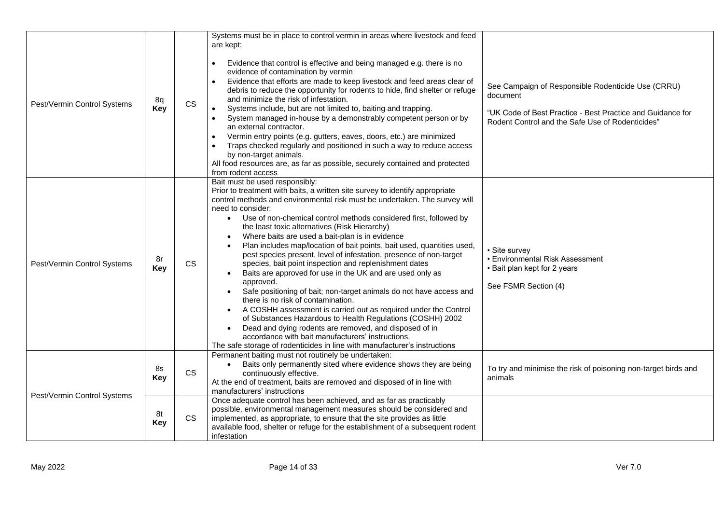| Pest/Vermin Control Systems | 8q<br>Key        | <b>CS</b> | Systems must be in place to control vermin in areas where livestock and feed<br>are kept:<br>Evidence that control is effective and being managed e.g. there is no<br>evidence of contamination by vermin<br>Evidence that efforts are made to keep livestock and feed areas clear of<br>debris to reduce the opportunity for rodents to hide, find shelter or refuge<br>and minimize the risk of infestation.<br>Systems include, but are not limited to, baiting and trapping.<br>$\bullet$<br>System managed in-house by a demonstrably competent person or by<br>$\bullet$<br>an external contractor.<br>Vermin entry points (e.g. gutters, eaves, doors, etc.) are minimized<br>Traps checked regularly and positioned in such a way to reduce access<br>by non-target animals.<br>All food resources are, as far as possible, securely contained and protected<br>from rodent access                                                                                                                                                                                                                                            | See Campaign of Responsible Rodenticide Use (CRRU)<br>document<br>"UK Code of Best Practice - Best Practice and Guidance for<br>Rodent Control and the Safe Use of Rodenticides" |
|-----------------------------|------------------|-----------|---------------------------------------------------------------------------------------------------------------------------------------------------------------------------------------------------------------------------------------------------------------------------------------------------------------------------------------------------------------------------------------------------------------------------------------------------------------------------------------------------------------------------------------------------------------------------------------------------------------------------------------------------------------------------------------------------------------------------------------------------------------------------------------------------------------------------------------------------------------------------------------------------------------------------------------------------------------------------------------------------------------------------------------------------------------------------------------------------------------------------------------|----------------------------------------------------------------------------------------------------------------------------------------------------------------------------------|
| Pest/Vermin Control Systems | 8r<br><b>Key</b> | <b>CS</b> | Bait must be used responsibly:<br>Prior to treatment with baits, a written site survey to identify appropriate<br>control methods and environmental risk must be undertaken. The survey will<br>need to consider:<br>Use of non-chemical control methods considered first, followed by<br>$\bullet$<br>the least toxic alternatives (Risk Hierarchy)<br>Where baits are used a bait-plan is in evidence<br>Plan includes map/location of bait points, bait used, quantities used,<br>pest species present, level of infestation, presence of non-target<br>species, bait point inspection and replenishment dates<br>Baits are approved for use in the UK and are used only as<br>approved.<br>Safe positioning of bait; non-target animals do not have access and<br>there is no risk of contamination.<br>A COSHH assessment is carried out as required under the Control<br>of Substances Hazardous to Health Regulations (COSHH) 2002<br>Dead and dying rodents are removed, and disposed of in<br>accordance with bait manufacturers' instructions.<br>The safe storage of rodenticides in line with manufacturer's instructions | • Site survev<br>• Environmental Risk Assessment<br>• Bait plan kept for 2 years<br>See FSMR Section (4)                                                                         |
| Pest/Vermin Control Systems | 8s<br><b>Key</b> | CS        | Permanent baiting must not routinely be undertaken:<br>Baits only permanently sited where evidence shows they are being<br>continuously effective.<br>At the end of treatment, baits are removed and disposed of in line with<br>manufacturers' instructions                                                                                                                                                                                                                                                                                                                                                                                                                                                                                                                                                                                                                                                                                                                                                                                                                                                                          | To try and minimise the risk of poisoning non-target birds and<br>animals                                                                                                        |
|                             | 8t<br><b>Key</b> | <b>CS</b> | Once adequate control has been achieved, and as far as practicably<br>possible, environmental management measures should be considered and<br>implemented, as appropriate, to ensure that the site provides as little<br>available food, shelter or refuge for the establishment of a subsequent rodent<br>infestation                                                                                                                                                                                                                                                                                                                                                                                                                                                                                                                                                                                                                                                                                                                                                                                                                |                                                                                                                                                                                  |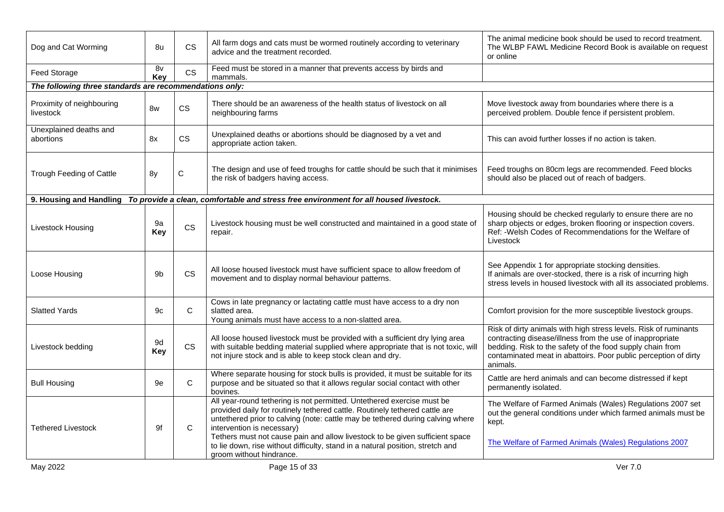| Dog and Cat Worming                                     | 8u        | <b>CS</b>    | All farm dogs and cats must be wormed routinely according to veterinary<br>advice and the treatment recorded.                                                                                                                                                                                                                                                                                                                                                       | The animal medicine book should be used to record treatment.<br>The WLBP FAWL Medicine Record Book is available on request<br>or online                                                                                                                                   |
|---------------------------------------------------------|-----------|--------------|---------------------------------------------------------------------------------------------------------------------------------------------------------------------------------------------------------------------------------------------------------------------------------------------------------------------------------------------------------------------------------------------------------------------------------------------------------------------|---------------------------------------------------------------------------------------------------------------------------------------------------------------------------------------------------------------------------------------------------------------------------|
| Feed Storage                                            | 8v<br>Key | <b>CS</b>    | Feed must be stored in a manner that prevents access by birds and<br>mammals.                                                                                                                                                                                                                                                                                                                                                                                       |                                                                                                                                                                                                                                                                           |
| The following three standards are recommendations only: |           |              |                                                                                                                                                                                                                                                                                                                                                                                                                                                                     |                                                                                                                                                                                                                                                                           |
| Proximity of neighbouring<br>livestock                  | 8w        | <b>CS</b>    | There should be an awareness of the health status of livestock on all<br>neighbouring farms                                                                                                                                                                                                                                                                                                                                                                         | Move livestock away from boundaries where there is a<br>perceived problem. Double fence if persistent problem.                                                                                                                                                            |
| Unexplained deaths and<br>abortions                     | 8x        | CS.          | Unexplained deaths or abortions should be diagnosed by a vet and<br>appropriate action taken.                                                                                                                                                                                                                                                                                                                                                                       | This can avoid further losses if no action is taken.                                                                                                                                                                                                                      |
| Trough Feeding of Cattle                                | 8y        | $\mathbf C$  | The design and use of feed troughs for cattle should be such that it minimises<br>the risk of badgers having access.                                                                                                                                                                                                                                                                                                                                                | Feed troughs on 80cm legs are recommended. Feed blocks<br>should also be placed out of reach of badgers.                                                                                                                                                                  |
|                                                         |           |              | 9. Housing and Handling To provide a clean, comfortable and stress free environment for all housed livestock.                                                                                                                                                                                                                                                                                                                                                       |                                                                                                                                                                                                                                                                           |
| Livestock Housing                                       | 9a<br>Key | <b>CS</b>    | Livestock housing must be well constructed and maintained in a good state of<br>repair.                                                                                                                                                                                                                                                                                                                                                                             | Housing should be checked regularly to ensure there are no<br>sharp objects or edges, broken flooring or inspection covers.<br>Ref: - Welsh Codes of Recommendations for the Welfare of<br>Livestock                                                                      |
| Loose Housing                                           | 9b        | <b>CS</b>    | All loose housed livestock must have sufficient space to allow freedom of<br>movement and to display normal behaviour patterns.                                                                                                                                                                                                                                                                                                                                     | See Appendix 1 for appropriate stocking densities.<br>If animals are over-stocked, there is a risk of incurring high<br>stress levels in housed livestock with all its associated problems.                                                                               |
| <b>Slatted Yards</b>                                    | 9c        | C            | Cows in late pregnancy or lactating cattle must have access to a dry non<br>slatted area.<br>Young animals must have access to a non-slatted area.                                                                                                                                                                                                                                                                                                                  | Comfort provision for the more susceptible livestock groups.                                                                                                                                                                                                              |
| Livestock bedding                                       | 9d<br>Key | <b>CS</b>    | All loose housed livestock must be provided with a sufficient dry lying area<br>with suitable bedding material supplied where appropriate that is not toxic, will<br>not injure stock and is able to keep stock clean and dry.                                                                                                                                                                                                                                      | Risk of dirty animals with high stress levels. Risk of ruminants<br>contracting disease/illness from the use of inappropriate<br>bedding. Risk to the safety of the food supply chain from<br>contaminated meat in abattoirs. Poor public perception of dirty<br>animals. |
| <b>Bull Housing</b>                                     | 9e        | $\mathsf{C}$ | Where separate housing for stock bulls is provided, it must be suitable for its<br>purpose and be situated so that it allows regular social contact with other<br>bovines.                                                                                                                                                                                                                                                                                          | Cattle are herd animals and can become distressed if kept<br>permanently isolated.                                                                                                                                                                                        |
| <b>Tethered Livestock</b>                               | 9f        | C            | All year-round tethering is not permitted. Untethered exercise must be<br>provided daily for routinely tethered cattle. Routinely tethered cattle are<br>untethered prior to calving (note: cattle may be tethered during calving where<br>intervention is necessary)<br>Tethers must not cause pain and allow livestock to be given sufficient space<br>to lie down, rise without difficulty, stand in a natural position, stretch and<br>groom without hindrance. | The Welfare of Farmed Animals (Wales) Regulations 2007 set<br>out the general conditions under which farmed animals must be<br>kept.<br>The Welfare of Farmed Animals (Wales) Regulations 2007                                                                            |
|                                                         |           |              |                                                                                                                                                                                                                                                                                                                                                                                                                                                                     |                                                                                                                                                                                                                                                                           |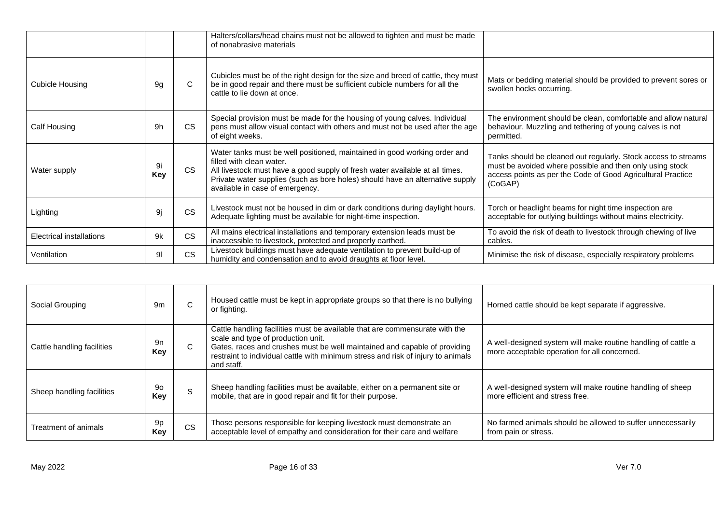|                                 |           |           | Halters/collars/head chains must not be allowed to tighten and must be made<br>of nonabrasive materials                                                                                                                                                                                                   |                                                                                                                                                                                                      |
|---------------------------------|-----------|-----------|-----------------------------------------------------------------------------------------------------------------------------------------------------------------------------------------------------------------------------------------------------------------------------------------------------------|------------------------------------------------------------------------------------------------------------------------------------------------------------------------------------------------------|
| <b>Cubicle Housing</b>          | 9q        | C.        | Cubicles must be of the right design for the size and breed of cattle, they must<br>be in good repair and there must be sufficient cubicle numbers for all the<br>cattle to lie down at once.                                                                                                             | Mats or bedding material should be provided to prevent sores or<br>swollen hocks occurring.                                                                                                          |
| Calf Housing                    | 9h        | <b>CS</b> | Special provision must be made for the housing of young calves. Individual<br>pens must allow visual contact with others and must not be used after the age<br>of eight weeks.                                                                                                                            | The environment should be clean, comfortable and allow natural<br>behaviour. Muzzling and tethering of young calves is not<br>permitted.                                                             |
| Water supply                    | 9i<br>Key | <b>CS</b> | Water tanks must be well positioned, maintained in good working order and<br>filled with clean water.<br>All livestock must have a good supply of fresh water available at all times.<br>Private water supplies (such as bore holes) should have an alternative supply<br>available in case of emergency. | Tanks should be cleaned out regularly. Stock access to streams<br>must be avoided where possible and then only using stock<br>access points as per the Code of Good Agricultural Practice<br>(CoGAP) |
| Lighting                        | 9i        | <b>CS</b> | Livestock must not be housed in dim or dark conditions during daylight hours.<br>Adequate lighting must be available for night-time inspection.                                                                                                                                                           | Torch or headlight beams for night time inspection are<br>acceptable for outlying buildings without mains electricity.                                                                               |
| <b>Electrical installations</b> | 9k        | <b>CS</b> | All mains electrical installations and temporary extension leads must be<br>inaccessible to livestock, protected and properly earthed.                                                                                                                                                                    | To avoid the risk of death to livestock through chewing of live<br>cables.                                                                                                                           |
| Ventilation                     | 91        | <b>CS</b> | Livestock buildings must have adequate ventilation to prevent build-up of<br>humidity and condensation and to avoid draughts at floor level.                                                                                                                                                              | Minimise the risk of disease, especially respiratory problems                                                                                                                                        |

| Social Grouping            | 9m               | C.        | Housed cattle must be kept in appropriate groups so that there is no bullying<br>or fighting.                                                                                                                                                                                                    | Horned cattle should be kept separate if aggressive.                                                          |
|----------------------------|------------------|-----------|--------------------------------------------------------------------------------------------------------------------------------------------------------------------------------------------------------------------------------------------------------------------------------------------------|---------------------------------------------------------------------------------------------------------------|
| Cattle handling facilities | 9n<br><b>Key</b> | C.        | Cattle handling facilities must be available that are commensurate with the<br>scale and type of production unit.<br>Gates, races and crushes must be well maintained and capable of providing<br>restraint to individual cattle with minimum stress and risk of injury to animals<br>and staff. | A well-designed system will make routine handling of cattle a<br>more acceptable operation for all concerned. |
| Sheep handling facilities  | 90<br>Key        | S.        | Sheep handling facilities must be available, either on a permanent site or<br>mobile, that are in good repair and fit for their purpose.                                                                                                                                                         | A well-designed system will make routine handling of sheep<br>more efficient and stress free.                 |
| Treatment of animals       | 9p<br><b>Key</b> | <b>CS</b> | Those persons responsible for keeping livestock must demonstrate an<br>acceptable level of empathy and consideration for their care and welfare                                                                                                                                                  | No farmed animals should be allowed to suffer unnecessarily<br>from pain or stress.                           |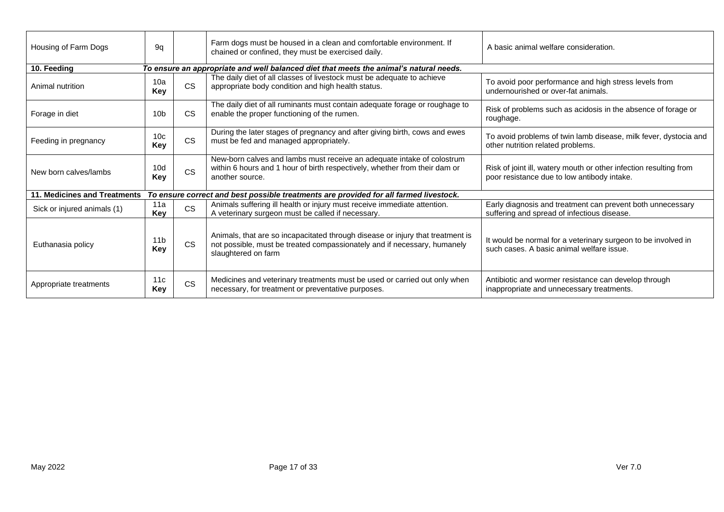| Housing of Farm Dogs         | 9q                                                                                    |           | Farm dogs must be housed in a clean and comfortable environment. If<br>chained or confined, they must be exercised daily.                                                         | A basic animal welfare consideration.                                                                            |  |  |  |  |
|------------------------------|---------------------------------------------------------------------------------------|-----------|-----------------------------------------------------------------------------------------------------------------------------------------------------------------------------------|------------------------------------------------------------------------------------------------------------------|--|--|--|--|
| 10. Feeding                  |                                                                                       |           | To ensure an appropriate and well balanced diet that meets the animal's natural needs.                                                                                            |                                                                                                                  |  |  |  |  |
| Animal nutrition             | 10a<br>Key                                                                            | <b>CS</b> | The daily diet of all classes of livestock must be adequate to achieve<br>appropriate body condition and high health status.                                                      | To avoid poor performance and high stress levels from<br>undernourished or over-fat animals.                     |  |  |  |  |
| Forage in diet               | 10 <sub>b</sub>                                                                       | <b>CS</b> | The daily diet of all ruminants must contain adequate forage or roughage to<br>enable the proper functioning of the rumen.                                                        | Risk of problems such as acidosis in the absence of forage or<br>roughage.                                       |  |  |  |  |
| Feeding in pregnancy         | 10 <sub>c</sub><br>Key                                                                | <b>CS</b> | During the later stages of pregnancy and after giving birth, cows and ewes<br>must be fed and managed appropriately.                                                              | To avoid problems of twin lamb disease, milk fever, dystocia and<br>other nutrition related problems.            |  |  |  |  |
| New born calves/lambs        | 10 <sub>d</sub><br>Key                                                                | <b>CS</b> | New-born calves and lambs must receive an adequate intake of colostrum<br>within 6 hours and 1 hour of birth respectively, whether from their dam or<br>another source.           | Risk of joint ill, watery mouth or other infection resulting from<br>poor resistance due to low antibody intake. |  |  |  |  |
| 11. Medicines and Treatments | To ensure correct and best possible treatments are provided for all farmed livestock. |           |                                                                                                                                                                                   |                                                                                                                  |  |  |  |  |
| Sick or injured animals (1)  | 11a<br>Key                                                                            | <b>CS</b> | Animals suffering ill health or injury must receive immediate attention.<br>A veterinary surgeon must be called if necessary.                                                     | Early diagnosis and treatment can prevent both unnecessary<br>suffering and spread of infectious disease.        |  |  |  |  |
| Euthanasia policy            | 11 <sub>b</sub><br>Key                                                                | <b>CS</b> | Animals, that are so incapacitated through disease or injury that treatment is<br>not possible, must be treated compassionately and if necessary, humanely<br>slaughtered on farm | It would be normal for a veterinary surgeon to be involved in<br>such cases. A basic animal welfare issue.       |  |  |  |  |
| Appropriate treatments       | 11c<br>Key                                                                            | <b>CS</b> | Medicines and veterinary treatments must be used or carried out only when<br>necessary, for treatment or preventative purposes.                                                   | Antibiotic and wormer resistance can develop through<br>inappropriate and unnecessary treatments.                |  |  |  |  |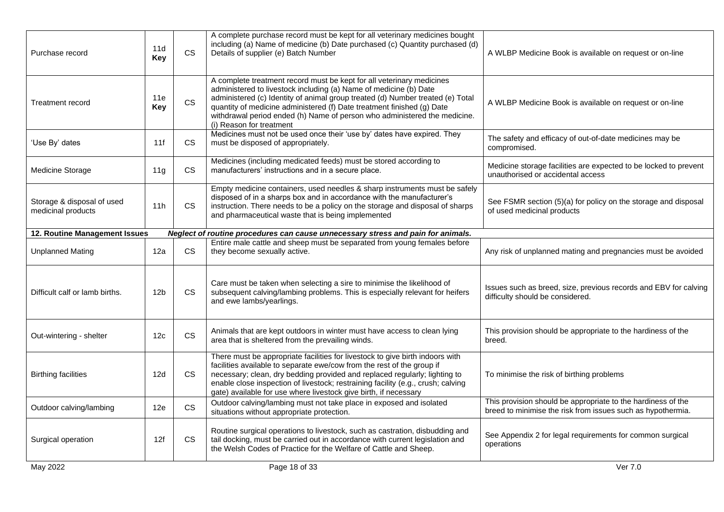| Purchase record                                  | 11d<br>Key      | <b>CS</b> | A complete purchase record must be kept for all veterinary medicines bought<br>including (a) Name of medicine (b) Date purchased (c) Quantity purchased (d)<br>Details of supplier (e) Batch Number                                                                                                                                                                                                             | A WLBP Medicine Book is available on request or on-line                                                                     |
|--------------------------------------------------|-----------------|-----------|-----------------------------------------------------------------------------------------------------------------------------------------------------------------------------------------------------------------------------------------------------------------------------------------------------------------------------------------------------------------------------------------------------------------|-----------------------------------------------------------------------------------------------------------------------------|
| <b>Treatment record</b>                          | 11e<br>Key      | <b>CS</b> | A complete treatment record must be kept for all veterinary medicines<br>administered to livestock including (a) Name of medicine (b) Date<br>administered (c) Identity of animal group treated (d) Number treated (e) Total<br>quantity of medicine administered (f) Date treatment finished (g) Date<br>withdrawal period ended (h) Name of person who administered the medicine.<br>(i) Reason for treatment | A WLBP Medicine Book is available on request or on-line                                                                     |
| 'Use By' dates                                   | 11f             | <b>CS</b> | Medicines must not be used once their 'use by' dates have expired. They<br>must be disposed of appropriately.                                                                                                                                                                                                                                                                                                   | The safety and efficacy of out-of-date medicines may be<br>compromised.                                                     |
| Medicine Storage                                 | 11 <sub>q</sub> | <b>CS</b> | Medicines (including medicated feeds) must be stored according to<br>manufacturers' instructions and in a secure place.                                                                                                                                                                                                                                                                                         | Medicine storage facilities are expected to be locked to prevent<br>unauthorised or accidental access                       |
| Storage & disposal of used<br>medicinal products | 11h             | <b>CS</b> | Empty medicine containers, used needles & sharp instruments must be safely<br>disposed of in a sharps box and in accordance with the manufacturer's<br>instruction. There needs to be a policy on the storage and disposal of sharps<br>and pharmaceutical waste that is being implemented                                                                                                                      | See FSMR section (5)(a) for policy on the storage and disposal<br>of used medicinal products                                |
| 12. Routine Management Issues                    |                 |           | Neglect of routine procedures can cause unnecessary stress and pain for animals.                                                                                                                                                                                                                                                                                                                                |                                                                                                                             |
| <b>Unplanned Mating</b>                          | 12a             | <b>CS</b> | Entire male cattle and sheep must be separated from young females before<br>they become sexually active.                                                                                                                                                                                                                                                                                                        | Any risk of unplanned mating and pregnancies must be avoided                                                                |
| Difficult calf or lamb births.                   | 12 <sub>b</sub> | <b>CS</b> | Care must be taken when selecting a sire to minimise the likelihood of<br>subsequent calving/lambing problems. This is especially relevant for heifers<br>and ewe lambs/yearlings.                                                                                                                                                                                                                              | Issues such as breed, size, previous records and EBV for calving<br>difficulty should be considered.                        |
| Out-wintering - shelter                          | 12c             | <b>CS</b> | Animals that are kept outdoors in winter must have access to clean lying<br>area that is sheltered from the prevailing winds.                                                                                                                                                                                                                                                                                   | This provision should be appropriate to the hardiness of the<br>breed.                                                      |
| <b>Birthing facilities</b>                       | 12d             | <b>CS</b> | There must be appropriate facilities for livestock to give birth indoors with<br>facilities available to separate ewe/cow from the rest of the group if<br>necessary; clean, dry bedding provided and replaced regularly; lighting to<br>enable close inspection of livestock; restraining facility (e.g., crush; calving<br>gate) available for use where livestock give birth, if necessary                   | To minimise the risk of birthing problems                                                                                   |
| Outdoor calving/lambing                          | 12e             | <b>CS</b> | Outdoor calving/lambing must not take place in exposed and isolated<br>situations without appropriate protection.                                                                                                                                                                                                                                                                                               | This provision should be appropriate to the hardiness of the<br>breed to minimise the risk from issues such as hypothermia. |
| Surgical operation                               | 12f             | <b>CS</b> | Routine surgical operations to livestock, such as castration, disbudding and<br>tail docking, must be carried out in accordance with current legislation and<br>the Welsh Codes of Practice for the Welfare of Cattle and Sheep.                                                                                                                                                                                | See Appendix 2 for legal requirements for common surgical<br>operations                                                     |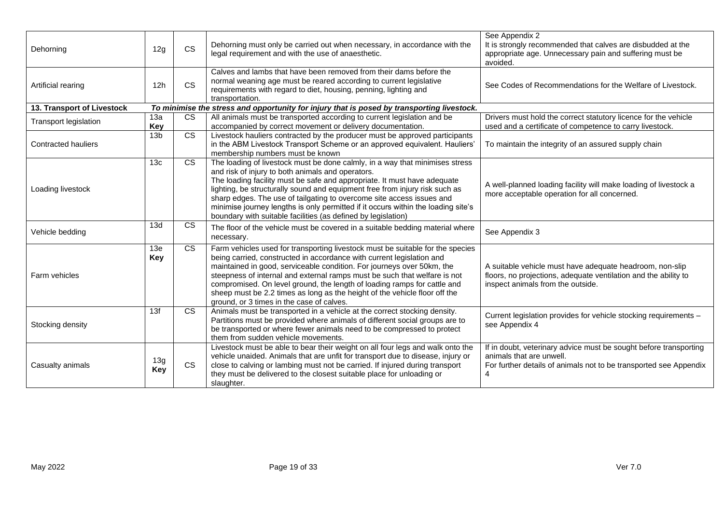| Dehorning                  | 12g               | <b>CS</b>              | Dehorning must only be carried out when necessary, in accordance with the<br>legal requirement and with the use of anaesthetic.                                                                                                                                                                                                                                                                                                                                                                                             | See Appendix 2<br>It is strongly recommended that calves are disbudded at the<br>appropriate age. Unnecessary pain and suffering must be<br>avoided.                    |
|----------------------------|-------------------|------------------------|-----------------------------------------------------------------------------------------------------------------------------------------------------------------------------------------------------------------------------------------------------------------------------------------------------------------------------------------------------------------------------------------------------------------------------------------------------------------------------------------------------------------------------|-------------------------------------------------------------------------------------------------------------------------------------------------------------------------|
| Artificial rearing         | 12h               | <b>CS</b>              | Calves and lambs that have been removed from their dams before the<br>normal weaning age must be reared according to current legislative<br>requirements with regard to diet, housing, penning, lighting and<br>transportation.                                                                                                                                                                                                                                                                                             | See Codes of Recommendations for the Welfare of Livestock.                                                                                                              |
| 13. Transport of Livestock |                   |                        | To minimise the stress and opportunity for injury that is posed by transporting livestock.                                                                                                                                                                                                                                                                                                                                                                                                                                  |                                                                                                                                                                         |
| Transport legislation      | 13a<br>Key        | <b>CS</b>              | All animals must be transported according to current legislation and be<br>accompanied by correct movement or delivery documentation.                                                                                                                                                                                                                                                                                                                                                                                       | Drivers must hold the correct statutory licence for the vehicle<br>used and a certificate of competence to carry livestock.                                             |
| <b>Contracted hauliers</b> | 13 <sub>b</sub>   | $\overline{\text{cs}}$ | Livestock hauliers contracted by the producer must be approved participants<br>in the ABM Livestock Transport Scheme or an approved equivalent. Hauliers'<br>membership numbers must be known                                                                                                                                                                                                                                                                                                                               | To maintain the integrity of an assured supply chain                                                                                                                    |
| Loading livestock          | 13c               | $\overline{\text{cs}}$ | The loading of livestock must be done calmly, in a way that minimises stress<br>and risk of injury to both animals and operators.<br>The loading facility must be safe and appropriate. It must have adequate<br>lighting, be structurally sound and equipment free from injury risk such as<br>sharp edges. The use of tailgating to overcome site access issues and<br>minimise journey lengths is only permitted if it occurs within the loading site's<br>boundary with suitable facilities (as defined by legislation) | A well-planned loading facility will make loading of livestock a<br>more acceptable operation for all concerned.                                                        |
| Vehicle bedding            | 13d               | <b>CS</b>              | The floor of the vehicle must be covered in a suitable bedding material where<br>necessary.                                                                                                                                                                                                                                                                                                                                                                                                                                 | See Appendix 3                                                                                                                                                          |
| Farm vehicles              | 13e<br>Key        | $\overline{\text{cs}}$ | Farm vehicles used for transporting livestock must be suitable for the species<br>being carried, constructed in accordance with current legislation and<br>maintained in good, serviceable condition. For journeys over 50km, the<br>steepness of internal and external ramps must be such that welfare is not<br>compromised. On level ground, the length of loading ramps for cattle and<br>sheep must be 2.2 times as long as the height of the vehicle floor off the<br>ground, or 3 times in the case of calves.       | A suitable vehicle must have adequate headroom, non-slip<br>floors, no projections, adequate ventilation and the ability to<br>inspect animals from the outside.        |
| Stocking density           | 13f               | <b>CS</b>              | Animals must be transported in a vehicle at the correct stocking density.<br>Partitions must be provided where animals of different social groups are to<br>be transported or where fewer animals need to be compressed to protect<br>them from sudden vehicle movements.                                                                                                                                                                                                                                                   | Current legislation provides for vehicle stocking requirements -<br>see Appendix 4                                                                                      |
| Casualty animals           | 13g<br><b>Key</b> | <b>CS</b>              | Livestock must be able to bear their weight on all four legs and walk onto the<br>vehicle unaided. Animals that are unfit for transport due to disease, injury or<br>close to calving or lambing must not be carried. If injured during transport<br>they must be delivered to the closest suitable place for unloading or<br>slaughter.                                                                                                                                                                                    | If in doubt, veterinary advice must be sought before transporting<br>animals that are unwell.<br>For further details of animals not to be transported see Appendix<br>4 |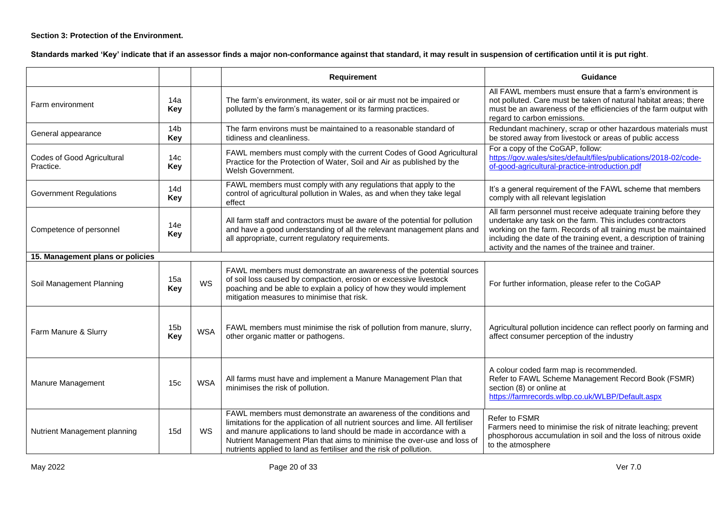## **Section 3: Protection of the Environment.**

**Standards marked 'Key' indicate that if an assessor finds a major non-conformance against that standard, it may result in suspension of certification until it is put right**.

|                                         |                               |            | <b>Requirement</b>                                                                                                                                                                                                                                                                                                                                                           | Guidance                                                                                                                                                                                                                                                                                                                   |
|-----------------------------------------|-------------------------------|------------|------------------------------------------------------------------------------------------------------------------------------------------------------------------------------------------------------------------------------------------------------------------------------------------------------------------------------------------------------------------------------|----------------------------------------------------------------------------------------------------------------------------------------------------------------------------------------------------------------------------------------------------------------------------------------------------------------------------|
| Farm environment                        | 14a<br>Key                    |            | The farm's environment, its water, soil or air must not be impaired or<br>polluted by the farm's management or its farming practices.                                                                                                                                                                                                                                        | All FAWL members must ensure that a farm's environment is<br>not polluted. Care must be taken of natural habitat areas; there<br>must be an awareness of the efficiencies of the farm output with<br>regard to carbon emissions.                                                                                           |
| General appearance                      | 14 <sub>b</sub><br><b>Key</b> |            | The farm environs must be maintained to a reasonable standard of<br>tidiness and cleanliness.                                                                                                                                                                                                                                                                                | Redundant machinery, scrap or other hazardous materials must<br>be stored away from livestock or areas of public access                                                                                                                                                                                                    |
| Codes of Good Agricultural<br>Practice. | 14 <sub>c</sub><br><b>Key</b> |            | FAWL members must comply with the current Codes of Good Agricultural<br>Practice for the Protection of Water, Soil and Air as published by the<br>Welsh Government.                                                                                                                                                                                                          | For a copy of the CoGAP, follow:<br>https://gov.wales/sites/default/files/publications/2018-02/code-<br>of-good-agricultural-practice-introduction.pdf                                                                                                                                                                     |
| <b>Government Regulations</b>           | 14d<br><b>Key</b>             |            | FAWL members must comply with any regulations that apply to the<br>control of agricultural pollution in Wales, as and when they take legal<br>effect                                                                                                                                                                                                                         | It's a general requirement of the FAWL scheme that members<br>comply with all relevant legislation                                                                                                                                                                                                                         |
| Competence of personnel                 | 14e<br><b>Key</b>             |            | All farm staff and contractors must be aware of the potential for pollution<br>and have a good understanding of all the relevant management plans and<br>all appropriate, current regulatory requirements.                                                                                                                                                                   | All farm personnel must receive adequate training before they<br>undertake any task on the farm. This includes contractors<br>working on the farm. Records of all training must be maintained<br>including the date of the training event, a description of training<br>activity and the names of the trainee and trainer. |
| 15. Management plans or policies        |                               |            |                                                                                                                                                                                                                                                                                                                                                                              |                                                                                                                                                                                                                                                                                                                            |
| Soil Management Planning                | 15a<br><b>Key</b>             | <b>WS</b>  | FAWL members must demonstrate an awareness of the potential sources<br>of soil loss caused by compaction, erosion or excessive livestock<br>poaching and be able to explain a policy of how they would implement<br>mitigation measures to minimise that risk.                                                                                                               | For further information, please refer to the CoGAP                                                                                                                                                                                                                                                                         |
| Farm Manure & Slurry                    | 15 <sub>b</sub><br><b>Key</b> | <b>WSA</b> | FAWL members must minimise the risk of pollution from manure, slurry,<br>other organic matter or pathogens.                                                                                                                                                                                                                                                                  | Agricultural pollution incidence can reflect poorly on farming and<br>affect consumer perception of the industry                                                                                                                                                                                                           |
| Manure Management                       | 15 <sub>c</sub>               | <b>WSA</b> | All farms must have and implement a Manure Management Plan that<br>minimises the risk of pollution.                                                                                                                                                                                                                                                                          | A colour coded farm map is recommended.<br>Refer to FAWL Scheme Management Record Book (FSMR)<br>section (8) or online at<br>https://farmrecords.wlbp.co.uk/WLBP/Default.aspx                                                                                                                                              |
| Nutrient Management planning            | 15d                           | WS         | FAWL members must demonstrate an awareness of the conditions and<br>limitations for the application of all nutrient sources and lime. All fertiliser<br>and manure applications to land should be made in accordance with a<br>Nutrient Management Plan that aims to minimise the over-use and loss of<br>nutrients applied to land as fertiliser and the risk of pollution. | <b>Refer to FSMR</b><br>Farmers need to minimise the risk of nitrate leaching; prevent<br>phosphorous accumulation in soil and the loss of nitrous oxide<br>to the atmosphere                                                                                                                                              |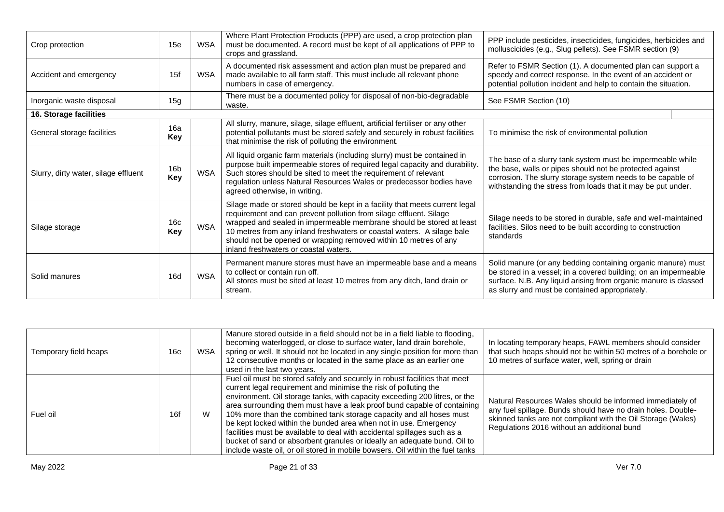| Crop protection                      | 15e                    | <b>WSA</b> | Where Plant Protection Products (PPP) are used, a crop protection plan<br>must be documented. A record must be kept of all applications of PPP to<br>crops and grassland.                                                                                                                                                                                                                                        | PPP include pesticides, insecticides, fungicides, herbicides and<br>molluscicides (e.g., Slug pellets). See FSMR section (9)                                                                                                                          |  |
|--------------------------------------|------------------------|------------|------------------------------------------------------------------------------------------------------------------------------------------------------------------------------------------------------------------------------------------------------------------------------------------------------------------------------------------------------------------------------------------------------------------|-------------------------------------------------------------------------------------------------------------------------------------------------------------------------------------------------------------------------------------------------------|--|
| Accident and emergency               | 15f                    | <b>WSA</b> | A documented risk assessment and action plan must be prepared and<br>made available to all farm staff. This must include all relevant phone<br>numbers in case of emergency.                                                                                                                                                                                                                                     | Refer to FSMR Section (1). A documented plan can support a<br>speedy and correct response. In the event of an accident or<br>potential pollution incident and help to contain the situation.                                                          |  |
| Inorganic waste disposal             | 15g                    |            | There must be a documented policy for disposal of non-bio-degradable<br>waste.                                                                                                                                                                                                                                                                                                                                   | See FSMR Section (10)                                                                                                                                                                                                                                 |  |
| 16. Storage facilities               |                        |            |                                                                                                                                                                                                                                                                                                                                                                                                                  |                                                                                                                                                                                                                                                       |  |
| General storage facilities           | 16a<br>Key             |            | All slurry, manure, silage, silage effluent, artificial fertiliser or any other<br>potential pollutants must be stored safely and securely in robust facilities<br>that minimise the risk of polluting the environment.                                                                                                                                                                                          | To minimise the risk of environmental pollution                                                                                                                                                                                                       |  |
| Slurry, dirty water, silage effluent | 16 <sub>b</sub><br>Key | WSA        | All liquid organic farm materials (including slurry) must be contained in<br>purpose built impermeable stores of required legal capacity and durability.<br>Such stores should be sited to meet the requirement of relevant<br>regulation unless Natural Resources Wales or predecessor bodies have<br>agreed otherwise, in writing.                                                                             | The base of a slurry tank system must be impermeable while<br>the base, walls or pipes should not be protected against<br>corrosion. The slurry storage system needs to be capable of<br>withstanding the stress from loads that it may be put under. |  |
| Silage storage                       | 16 <sub>c</sub><br>Key | <b>WSA</b> | Silage made or stored should be kept in a facility that meets current legal<br>requirement and can prevent pollution from silage effluent. Silage<br>wrapped and sealed in impermeable membrane should be stored at least<br>10 metres from any inland freshwaters or coastal waters. A silage bale<br>should not be opened or wrapping removed within 10 metres of any<br>inland freshwaters or coastal waters. | Silage needs to be stored in durable, safe and well-maintained<br>facilities. Silos need to be built according to construction<br>standards                                                                                                           |  |
| Solid manures                        | 16d                    | <b>WSA</b> | Permanent manure stores must have an impermeable base and a means<br>to collect or contain run off.<br>All stores must be sited at least 10 metres from any ditch, land drain or<br>stream.                                                                                                                                                                                                                      | Solid manure (or any bedding containing organic manure) must<br>be stored in a vessel; in a covered building; on an impermeable<br>surface. N.B. Any liquid arising from organic manure is classed<br>as slurry and must be contained appropriately.  |  |

| Temporary field heaps | 16e | WSA | Manure stored outside in a field should not be in a field liable to flooding,<br>becoming waterlogged, or close to surface water, land drain borehole,<br>spring or well. It should not be located in any single position for more than<br>12 consecutive months or located in the same place as an earlier one<br>used in the last two years.                                                                                                                                                                                                                                                                                                                                              | In locating temporary heaps, FAWL members should consider<br>that such heaps should not be within 50 metres of a borehole or<br>10 metres of surface water, well, spring or drain                                                        |
|-----------------------|-----|-----|---------------------------------------------------------------------------------------------------------------------------------------------------------------------------------------------------------------------------------------------------------------------------------------------------------------------------------------------------------------------------------------------------------------------------------------------------------------------------------------------------------------------------------------------------------------------------------------------------------------------------------------------------------------------------------------------|------------------------------------------------------------------------------------------------------------------------------------------------------------------------------------------------------------------------------------------|
| Fuel oil              | 16f | W   | Fuel oil must be stored safely and securely in robust facilities that meet<br>current legal requirement and minimise the risk of polluting the<br>environment. Oil storage tanks, with capacity exceeding 200 litres, or the<br>area surrounding them must have a leak proof bund capable of containing<br>10% more than the combined tank storage capacity and all hoses must<br>be kept locked within the bunded area when not in use. Emergency<br>facilities must be available to deal with accidental spillages such as a<br>bucket of sand or absorbent granules or ideally an adequate bund. Oil to<br>include waste oil, or oil stored in mobile bowsers. Oil within the fuel tanks | Natural Resources Wales should be informed immediately of<br>any fuel spillage. Bunds should have no drain holes. Double-<br>skinned tanks are not compliant with the Oil Storage (Wales)<br>Regulations 2016 without an additional bund |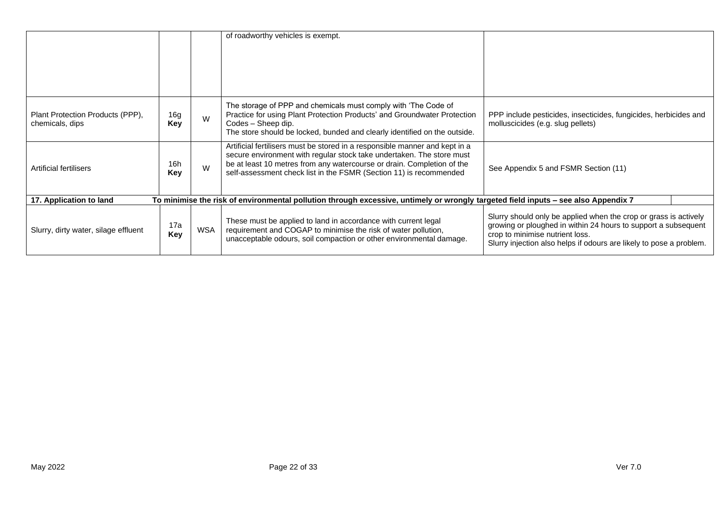|                                                     |            |     | of roadworthy vehicles is exempt.                                                                                                                                                                                                                                                                    |                                                                                                                                                                                                                                              |
|-----------------------------------------------------|------------|-----|------------------------------------------------------------------------------------------------------------------------------------------------------------------------------------------------------------------------------------------------------------------------------------------------------|----------------------------------------------------------------------------------------------------------------------------------------------------------------------------------------------------------------------------------------------|
| Plant Protection Products (PPP),<br>chemicals, dips | 16g<br>Key | W   | The storage of PPP and chemicals must comply with 'The Code of<br>Practice for using Plant Protection Products' and Groundwater Protection<br>Codes - Sheep dip.<br>The store should be locked, bunded and clearly identified on the outside.                                                        | PPP include pesticides, insecticides, fungicides, herbicides and<br>molluscicides (e.g. slug pellets)                                                                                                                                        |
| Artificial fertilisers                              | 16h<br>Key | W   | Artificial fertilisers must be stored in a responsible manner and kept in a<br>secure environment with regular stock take undertaken. The store must<br>be at least 10 metres from any watercourse or drain. Completion of the<br>self-assessment check list in the FSMR (Section 11) is recommended | See Appendix 5 and FSMR Section (11)                                                                                                                                                                                                         |
| 17. Application to land                             |            |     | To minimise the risk of environmental pollution through excessive, untimely or wrongly targeted field inputs - see also Appendix 7                                                                                                                                                                   |                                                                                                                                                                                                                                              |
| Slurry, dirty water, silage effluent                | 17a<br>Key | WSA | These must be applied to land in accordance with current legal<br>requirement and COGAP to minimise the risk of water pollution,<br>unacceptable odours, soil compaction or other environmental damage.                                                                                              | Slurry should only be applied when the crop or grass is actively<br>growing or ploughed in within 24 hours to support a subsequent<br>crop to minimise nutrient loss.<br>Slurry injection also helps if odours are likely to pose a problem. |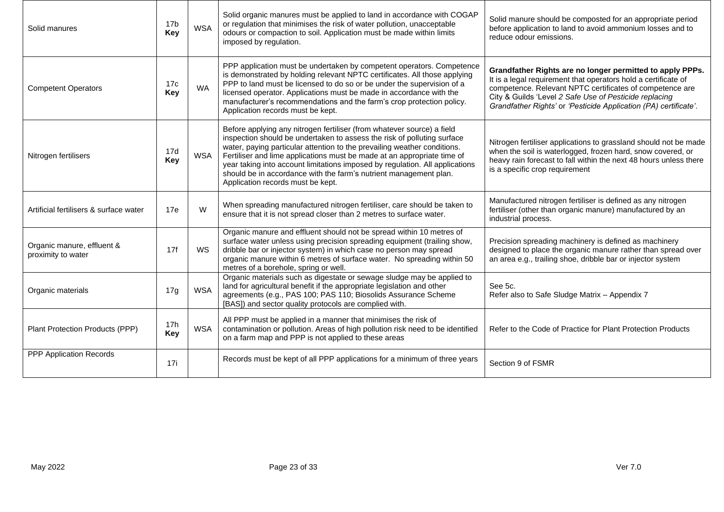| Solid manures                                    | 17 <sub>b</sub><br>Key | <b>WSA</b> | Solid organic manures must be applied to land in accordance with COGAP<br>or regulation that minimises the risk of water pollution, unacceptable<br>odours or compaction to soil. Application must be made within limits<br>imposed by regulation.                                                                                                                                                                                                                                                 | Solid manure should be composted for an appropriate period<br>before application to land to avoid ammonium losses and to<br>reduce odour emissions.                                                                                                                                                                   |
|--------------------------------------------------|------------------------|------------|----------------------------------------------------------------------------------------------------------------------------------------------------------------------------------------------------------------------------------------------------------------------------------------------------------------------------------------------------------------------------------------------------------------------------------------------------------------------------------------------------|-----------------------------------------------------------------------------------------------------------------------------------------------------------------------------------------------------------------------------------------------------------------------------------------------------------------------|
| <b>Competent Operators</b>                       | 17c<br>Key             | <b>WA</b>  | PPP application must be undertaken by competent operators. Competence<br>is demonstrated by holding relevant NPTC certificates. All those applying<br>PPP to land must be licensed to do so or be under the supervision of a<br>licensed operator. Applications must be made in accordance with the<br>manufacturer's recommendations and the farm's crop protection policy.<br>Application records must be kept.                                                                                  | Grandfather Rights are no longer permitted to apply PPPs.<br>It is a legal requirement that operators hold a certificate of<br>competence. Relevant NPTC certificates of competence are<br>City & Guilds 'Level 2 Safe Use of Pesticide replacing<br>Grandfather Rights' or 'Pesticide Application (PA) certificate'. |
| Nitrogen fertilisers                             | 17d<br>Key             | <b>WSA</b> | Before applying any nitrogen fertiliser (from whatever source) a field<br>inspection should be undertaken to assess the risk of polluting surface<br>water, paying particular attention to the prevailing weather conditions.<br>Fertiliser and lime applications must be made at an appropriate time of<br>year taking into account limitations imposed by regulation. All applications<br>should be in accordance with the farm's nutrient management plan.<br>Application records must be kept. | Nitrogen fertiliser applications to grassland should not be made<br>when the soil is waterlogged, frozen hard, snow covered, or<br>heavy rain forecast to fall within the next 48 hours unless there<br>is a specific crop requirement                                                                                |
| Artificial fertilisers & surface water           | 17e                    | W          | When spreading manufactured nitrogen fertiliser, care should be taken to<br>ensure that it is not spread closer than 2 metres to surface water.                                                                                                                                                                                                                                                                                                                                                    | Manufactured nitrogen fertiliser is defined as any nitrogen<br>fertiliser (other than organic manure) manufactured by an<br>industrial process.                                                                                                                                                                       |
| Organic manure, effluent &<br>proximity to water | 17f                    | WS         | Organic manure and effluent should not be spread within 10 metres of<br>surface water unless using precision spreading equipment (trailing show,<br>dribble bar or injector system) in which case no person may spread<br>organic manure within 6 metres of surface water. No spreading within 50<br>metres of a borehole, spring or well.                                                                                                                                                         | Precision spreading machinery is defined as machinery<br>designed to place the organic manure rather than spread over<br>an area e.g., trailing shoe, dribble bar or injector system                                                                                                                                  |
| Organic materials                                | 17g                    | <b>WSA</b> | Organic materials such as digestate or sewage sludge may be applied to<br>land for agricultural benefit if the appropriate legislation and other<br>agreements (e.g., PAS 100; PAS 110; Biosolids Assurance Scheme<br>[BAS]) and sector quality protocols are complied with.                                                                                                                                                                                                                       | See 5c.<br>Refer also to Safe Sludge Matrix - Appendix 7                                                                                                                                                                                                                                                              |
| Plant Protection Products (PPP)                  | 17 <sub>h</sub><br>Key | <b>WSA</b> | All PPP must be applied in a manner that minimises the risk of<br>contamination or pollution. Areas of high pollution risk need to be identified<br>on a farm map and PPP is not applied to these areas                                                                                                                                                                                                                                                                                            | Refer to the Code of Practice for Plant Protection Products                                                                                                                                                                                                                                                           |
| PPP Application Records                          | 17i                    |            | Records must be kept of all PPP applications for a minimum of three years                                                                                                                                                                                                                                                                                                                                                                                                                          | Section 9 of FSMR                                                                                                                                                                                                                                                                                                     |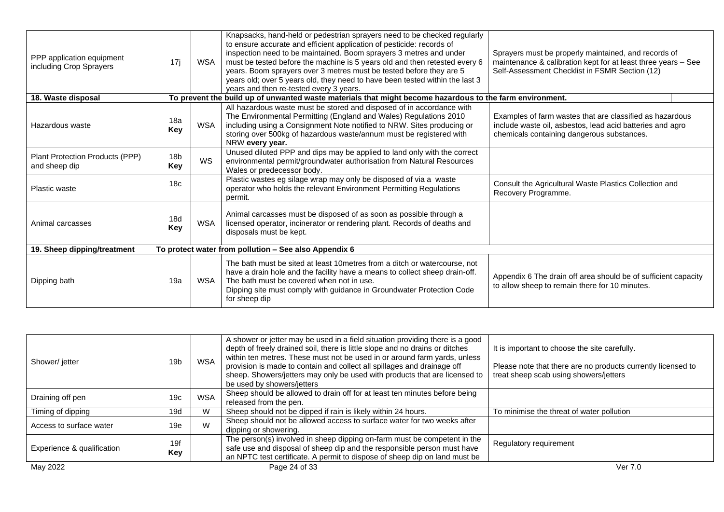| PPP application equipment<br>including Crop Sprayers | 17j                    | WSA        | Knapsacks, hand-held or pedestrian sprayers need to be checked regularly<br>to ensure accurate and efficient application of pesticide: records of<br>inspection need to be maintained. Boom sprayers 3 metres and under<br>must be tested before the machine is 5 years old and then retested every 6<br>years. Boom sprayers over 3 metres must be tested before they are 5<br>years old; over 5 years old, they need to have been tested within the last 3<br>years and then re-tested every 3 years. | Sprayers must be properly maintained, and records of<br>maintenance & calibration kept for at least three years - See<br>Self-Assessment Checklist in FSMR Section (12) |
|------------------------------------------------------|------------------------|------------|---------------------------------------------------------------------------------------------------------------------------------------------------------------------------------------------------------------------------------------------------------------------------------------------------------------------------------------------------------------------------------------------------------------------------------------------------------------------------------------------------------|-------------------------------------------------------------------------------------------------------------------------------------------------------------------------|
| 18. Waste disposal                                   |                        |            | To prevent the build up of unwanted waste materials that might become hazardous to the farm environment.                                                                                                                                                                                                                                                                                                                                                                                                |                                                                                                                                                                         |
| Hazardous waste                                      | 18a<br>Key             | <b>WSA</b> | All hazardous waste must be stored and disposed of in accordance with<br>The Environmental Permitting (England and Wales) Regulations 2010<br>including using a Consignment Note notified to NRW. Sites producing or<br>storing over 500kg of hazardous waste/annum must be registered with<br>NRW every year.                                                                                                                                                                                          | Examples of farm wastes that are classified as hazardous<br>include waste oil, asbestos, lead acid batteries and agro<br>chemicals containing dangerous substances.     |
| Plant Protection Products (PPP)<br>and sheep dip     | 18 <sub>b</sub><br>Key | <b>WS</b>  | Unused diluted PPP and dips may be applied to land only with the correct<br>environmental permit/groundwater authorisation from Natural Resources<br>Wales or predecessor body.                                                                                                                                                                                                                                                                                                                         |                                                                                                                                                                         |
| <b>Plastic waste</b>                                 | 18 <sub>c</sub>        |            | Plastic wastes eg silage wrap may only be disposed of via a waste<br>operator who holds the relevant Environment Permitting Regulations<br>permit.                                                                                                                                                                                                                                                                                                                                                      | Consult the Agricultural Waste Plastics Collection and<br>Recovery Programme.                                                                                           |
| Animal carcasses                                     | 18d<br>Key             | <b>WSA</b> | Animal carcasses must be disposed of as soon as possible through a<br>licensed operator, incinerator or rendering plant. Records of deaths and<br>disposals must be kept.                                                                                                                                                                                                                                                                                                                               |                                                                                                                                                                         |
| 19. Sheep dipping/treatment                          |                        |            | To protect water from pollution - See also Appendix 6                                                                                                                                                                                                                                                                                                                                                                                                                                                   |                                                                                                                                                                         |
| Dipping bath                                         | 19a                    | <b>WSA</b> | The bath must be sited at least 10 metres from a ditch or watercourse, not<br>have a drain hole and the facility have a means to collect sheep drain-off.<br>The bath must be covered when not in use.<br>Dipping site must comply with guidance in Groundwater Protection Code<br>for sheep dip                                                                                                                                                                                                        | Appendix 6 The drain off area should be of sufficient capacity<br>to allow sheep to remain there for 10 minutes.                                                        |

| Shower/jetter              | 19 <sub>b</sub> | <b>WSA</b> | A shower or jetter may be used in a field situation providing there is a good<br>depth of freely drained soil, there is little slope and no drains or ditches<br>within ten metres. These must not be used in or around farm yards, unless<br>provision is made to contain and collect all spillages and drainage off<br>sheep. Showers/jetters may only be used with products that are licensed to<br>be used by showers/jetters | It is important to choose the site carefully.<br>Please note that there are no products currently licensed to<br>treat sheep scab using showers/jetters |
|----------------------------|-----------------|------------|-----------------------------------------------------------------------------------------------------------------------------------------------------------------------------------------------------------------------------------------------------------------------------------------------------------------------------------------------------------------------------------------------------------------------------------|---------------------------------------------------------------------------------------------------------------------------------------------------------|
| Draining off pen           | 19 <sub>c</sub> | <b>WSA</b> | Sheep should be allowed to drain off for at least ten minutes before being<br>released from the pen.                                                                                                                                                                                                                                                                                                                              |                                                                                                                                                         |
| Timing of dipping          | 19d             | W          | Sheep should not be dipped if rain is likely within 24 hours.                                                                                                                                                                                                                                                                                                                                                                     | To minimise the threat of water pollution                                                                                                               |
| Access to surface water    | 19e             | W          | Sheep should not be allowed access to surface water for two weeks after<br>dipping or showering.                                                                                                                                                                                                                                                                                                                                  |                                                                                                                                                         |
| Experience & qualification | 19f<br>Key      |            | The person(s) involved in sheep dipping on-farm must be competent in the<br>safe use and disposal of sheep dip and the responsible person must have<br>an NPTC test certificate. A permit to dispose of sheep dip on land must be                                                                                                                                                                                                 | Regulatory requirement                                                                                                                                  |
| May 2022                   |                 |            | Page 24 of 33                                                                                                                                                                                                                                                                                                                                                                                                                     | Ver 7.0                                                                                                                                                 |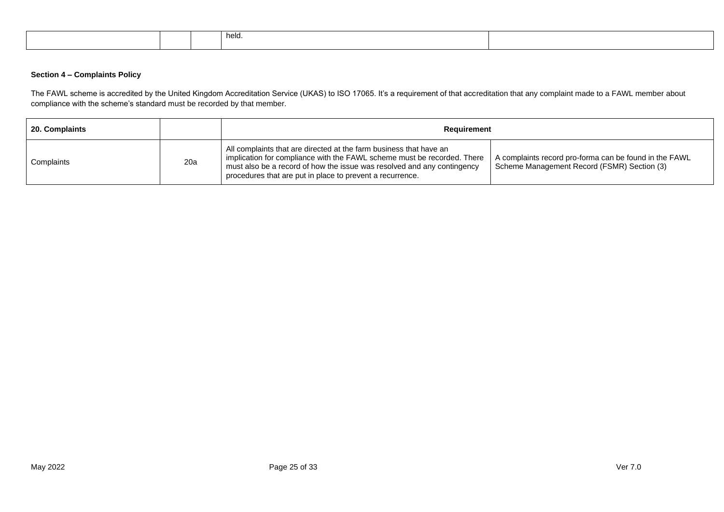|  | held. |  |
|--|-------|--|
|  |       |  |

## **Section 4 – Complaints Policy**

The FAWL scheme is accredited by the United Kingdom Accreditation Service (UKAS) to ISO 17065. It's a requirement of that accreditation that any complaint made to a FAWL member about compliance with the scheme's standard must be recorded by that member.

| 20. Complaints    |     | Requirement                                                                                                                                                                                                                                                                           |                                                                                                       |
|-------------------|-----|---------------------------------------------------------------------------------------------------------------------------------------------------------------------------------------------------------------------------------------------------------------------------------------|-------------------------------------------------------------------------------------------------------|
| <b>Complaints</b> | 20a | All complaints that are directed at the farm business that have an<br>implication for compliance with the FAWL scheme must be recorded. There<br>must also be a record of how the issue was resolved and any contingency<br>procedures that are put in place to prevent a recurrence. | A complaints record pro-forma can be found in the FAWL<br>Scheme Management Record (FSMR) Section (3) |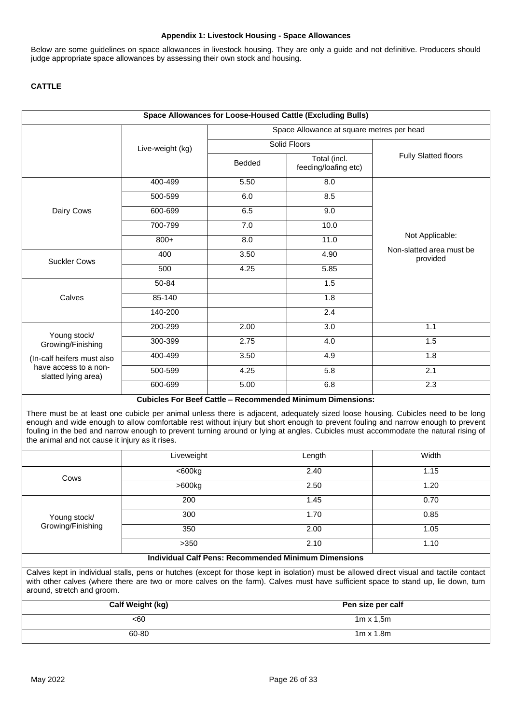#### **Appendix 1: Livestock Housing - Space Allowances**

Below are some guidelines on space allowances in livestock housing. They are only a guide and not definitive. Producers should judge appropriate space allowances by assessing their own stock and housing.

## **CATTLE**

|                                              |                  | Space Allowance at square metres per head |                                                                   |                                      |  |
|----------------------------------------------|------------------|-------------------------------------------|-------------------------------------------------------------------|--------------------------------------|--|
|                                              | Live-weight (kg) | Solid Floors                              |                                                                   |                                      |  |
|                                              |                  | <b>Bedded</b>                             | Total (incl.<br>feeding/loafing etc)                              | <b>Fully Slatted floors</b>          |  |
|                                              | 400-499          | 5.50                                      | 8.0                                                               |                                      |  |
|                                              | 500-599          | 6.0                                       | 8.5                                                               |                                      |  |
| Dairy Cows                                   | 600-699          | 6.5                                       | 9.0                                                               |                                      |  |
|                                              | 700-799          | 7.0                                       | 10.0                                                              |                                      |  |
|                                              | $800+$           | 8.0                                       | 11.0                                                              | Not Applicable:                      |  |
| <b>Suckler Cows</b>                          | 400              | 3.50                                      | 4.90                                                              | Non-slatted area must be<br>provided |  |
|                                              | 500              | 4.25                                      | 5.85                                                              |                                      |  |
|                                              | 50-84            |                                           | 1.5                                                               |                                      |  |
| Calves                                       | 85-140           |                                           | 1.8                                                               |                                      |  |
|                                              | 140-200          |                                           | 2.4                                                               |                                      |  |
|                                              | 200-299          | 2.00                                      | 3.0                                                               | 1.1                                  |  |
| Young stock/<br>Growing/Finishing            | 300-399          | 2.75                                      | 4.0                                                               | 1.5                                  |  |
| (In-calf heifers must also                   | 400-499          | 3.50                                      | 4.9                                                               | $\overline{1.8}$                     |  |
| have access to a non-<br>slatted lying area) | 500-599          | 4.25                                      | 5.8                                                               | 2.1                                  |  |
|                                              | 600-699          | 5.00                                      | 6.8                                                               | 2.3                                  |  |
|                                              |                  |                                           | <b>Cubicles For Beef Cattle - Recommended Minimum Dimensions:</b> |                                      |  |

|                                                             | Liveweight | Length | Width |  |
|-------------------------------------------------------------|------------|--------|-------|--|
| Cows                                                        | <600kg     | 2.40   | 1.15  |  |
|                                                             | $>600$ kg  | 2.50   | 1.20  |  |
|                                                             | 200        | 1.45   | 0.70  |  |
| Young stock/                                                | 300        | 1.70   | 0.85  |  |
| Growing/Finishing                                           | 350        | 2.00   | 1.05  |  |
|                                                             | >350       | 2.10   | 1.10  |  |
| <b>Individual Calf Pens: Recommended Minimum Dimensions</b> |            |        |       |  |

Calves kept in individual stalls, pens or hutches (except for those kept in isolation) must be allowed direct visual and tactile contact with other calves (where there are two or more calves on the farm). Calves must have sufficient space to stand up, lie down, turn around, stretch and groom.

| Calf Weight (kg) | Pen size per calf |
|------------------|-------------------|
| <60              | $1m \times 1.5m$  |
| 60-80            | $1m \times 1.8m$  |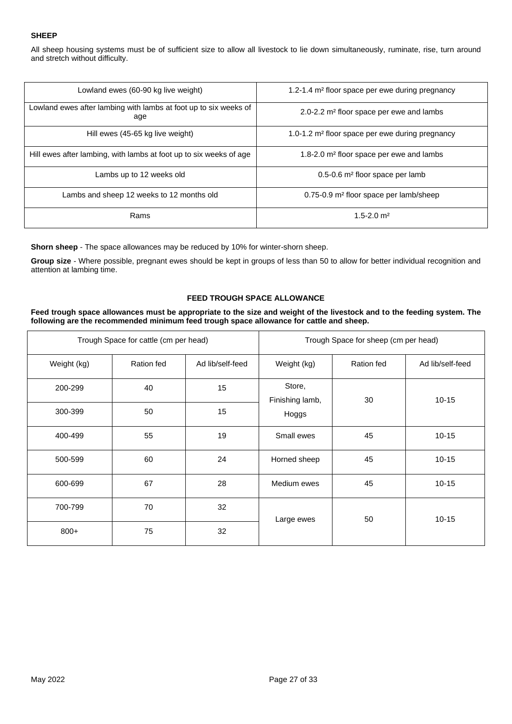## **SHEEP**

All sheep housing systems must be of sufficient size to allow all livestock to lie down simultaneously, ruminate, rise, turn around and stretch without difficulty.

| Lowland ewes (60-90 kg live weight)                                     | 1.2-1.4 m <sup>2</sup> floor space per ewe during pregnancy |
|-------------------------------------------------------------------------|-------------------------------------------------------------|
| Lowland ewes after lambing with lambs at foot up to six weeks of<br>age | 2.0-2.2 m <sup>2</sup> floor space per ewe and lambs        |
| Hill ewes (45-65 kg live weight)                                        | 1.0-1.2 m <sup>2</sup> floor space per ewe during pregnancy |
| Hill ewes after lambing, with lambs at foot up to six weeks of age      | 1.8-2.0 m <sup>2</sup> floor space per ewe and lambs        |
| Lambs up to 12 weeks old                                                | 0.5-0.6 m <sup>2</sup> floor space per lamb                 |
| Lambs and sheep 12 weeks to 12 months old                               | 0.75-0.9 m <sup>2</sup> floor space per lamb/sheep          |
| Rams                                                                    | $1.5 - 2.0$ m <sup>2</sup>                                  |

**Shorn sheep** - The space allowances may be reduced by 10% for winter-shorn sheep.

**Group size** - Where possible, pregnant ewes should be kept in groups of less than 50 to allow for better individual recognition and attention at lambing time.

## **FEED TROUGH SPACE ALLOWANCE**

#### **Feed trough space allowances must be appropriate to the size and weight of the livestock and to the feeding system. The following are the recommended minimum feed trough space allowance for cattle and sheep.**

| Trough Space for cattle (cm per head) |            |                  |                           | Trough Space for sheep (cm per head) |                  |
|---------------------------------------|------------|------------------|---------------------------|--------------------------------------|------------------|
| Weight (kg)                           | Ration fed | Ad lib/self-feed | Weight (kg)               | Ration fed                           | Ad lib/self-feed |
| 200-299                               | 40         | 15               | Store,<br>Finishing lamb, | 30                                   | $10 - 15$        |
| 300-399                               | 50         | 15               | Hoggs                     |                                      |                  |
| 400-499                               | 55         | 19               | Small ewes                | 45                                   | $10 - 15$        |
| 500-599                               | 60         | 24               | Horned sheep              | 45                                   | $10 - 15$        |
| 600-699                               | 67         | 28               | Medium ewes               | 45                                   | $10 - 15$        |
| 700-799                               | 70         | 32               | Large ewes                | 50                                   | $10 - 15$        |
| $800+$                                | 75         | 32               |                           |                                      |                  |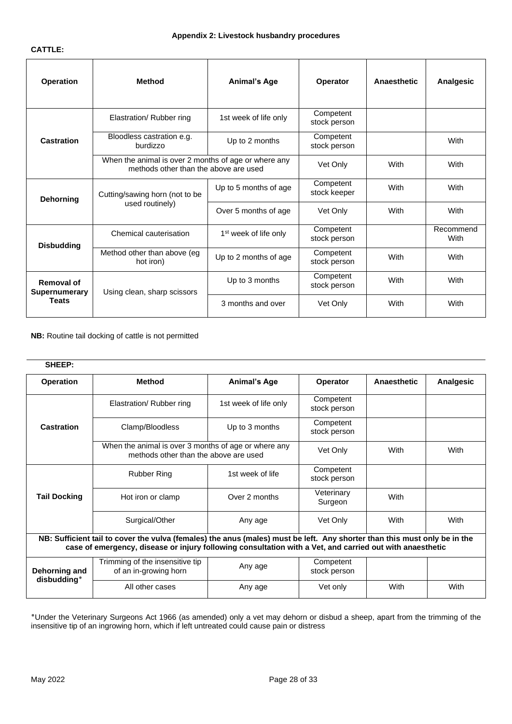#### **CATTLE:**

| <b>Operation</b>                                                                              | <b>Method</b>                            | <b>Animal's Age</b>               | <b>Operator</b>           | Anaesthetic | Analgesic         |
|-----------------------------------------------------------------------------------------------|------------------------------------------|-----------------------------------|---------------------------|-------------|-------------------|
|                                                                                               | Elastration/ Rubber ring                 | 1st week of life only             | Competent<br>stock person |             |                   |
| Castration                                                                                    | Bloodless castration e.g.<br>burdizzo    | Up to 2 months                    | Competent<br>stock person |             | With              |
| When the animal is over 2 months of age or where any<br>methods other than the above are used |                                          |                                   | Vet Only                  | With        | With              |
| Dehorning                                                                                     | Cutting/sawing horn (not to be           | Up to 5 months of age             | Competent<br>stock keeper | With        | With              |
|                                                                                               | used routinely)                          | Over 5 months of age              | Vet Only                  | With        | With              |
| <b>Disbudding</b>                                                                             | Chemical cauterisation                   | 1 <sup>st</sup> week of life only | Competent<br>stock person |             | Recommend<br>With |
|                                                                                               | Method other than above (eg<br>hot iron) | Up to 2 months of age             | Competent<br>stock person | With        | With              |
| <b>Removal of</b><br><b>Supernumerary</b><br><b>Teats</b>                                     | Using clean, sharp scissors              | Up to 3 months                    | Competent<br>stock person | With        | With              |
|                                                                                               |                                          | 3 months and over                 | Vet Only                  | With        | With              |

**NB:** Routine tail docking of cattle is not permitted

## **SHEEP:**

| <b>Operation</b>                                                                                                                                                                                                                      | Method                                                   | <b>Animal's Age</b>   | Operator                  | <b>Anaesthetic</b> | Analgesic |
|---------------------------------------------------------------------------------------------------------------------------------------------------------------------------------------------------------------------------------------|----------------------------------------------------------|-----------------------|---------------------------|--------------------|-----------|
|                                                                                                                                                                                                                                       | Elastration/ Rubber ring                                 | 1st week of life only | Competent<br>stock person |                    |           |
| <b>Castration</b>                                                                                                                                                                                                                     | Clamp/Bloodless                                          | Up to 3 months        | Competent<br>stock person |                    |           |
| When the animal is over 3 months of age or where any<br>Vet Only<br>methods other than the above are used                                                                                                                             |                                                          | With                  | With                      |                    |           |
|                                                                                                                                                                                                                                       | <b>Rubber Ring</b>                                       | 1st week of life      | Competent<br>stock person |                    |           |
| <b>Tail Docking</b>                                                                                                                                                                                                                   | Hot iron or clamp                                        | Over 2 months         | Veterinary<br>Surgeon     | With               |           |
|                                                                                                                                                                                                                                       | Surgical/Other                                           | Any age               | Vet Only                  | With               | With      |
| NB: Sufficient tail to cover the vulva (females) the anus (males) must be left. Any shorter than this must only be in the<br>case of emergency, disease or injury following consultation with a Vet, and carried out with anaesthetic |                                                          |                       |                           |                    |           |
| Dehorning and                                                                                                                                                                                                                         | Trimming of the insensitive tip<br>of an in-growing horn | Any age               | Competent<br>stock person |                    |           |
| disbudding*                                                                                                                                                                                                                           | All other cases                                          | Any age               | Vet only                  | With               | With      |

٭Under the Veterinary Surgeons Act 1966 (as amended) only a vet may dehorn or disbud a sheep, apart from the trimming of the insensitive tip of an ingrowing horn, which if left untreated could cause pain or distress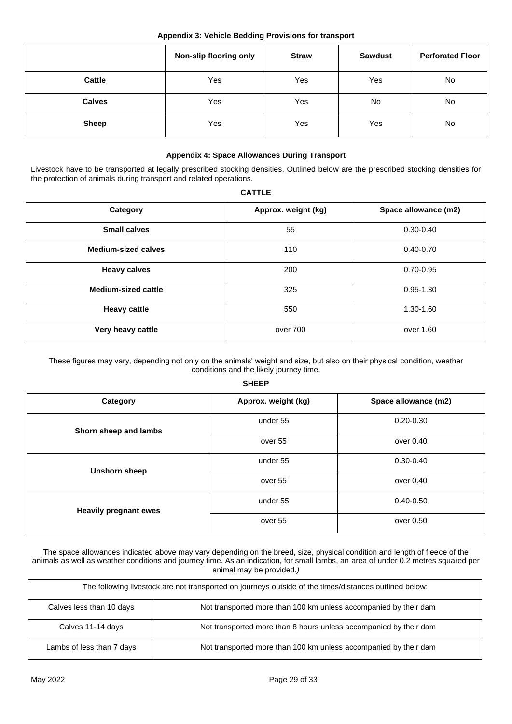|               | Non-slip flooring only | <b>Straw</b> | <b>Sawdust</b> | <b>Perforated Floor</b> |
|---------------|------------------------|--------------|----------------|-------------------------|
| <b>Cattle</b> | Yes                    | Yes          | Yes            | No                      |
| <b>Calves</b> | Yes                    | Yes          | No             | No                      |
| <b>Sheep</b>  | Yes                    | Yes          | Yes            | No                      |

## **Appendix 4: Space Allowances During Transport**

Livestock have to be transported at legally prescribed stocking densities. Outlined below are the prescribed stocking densities for the protection of animals during transport and related operations.

| <b>CATTLE</b>              |                     |                      |  |  |
|----------------------------|---------------------|----------------------|--|--|
| Category                   | Approx. weight (kg) | Space allowance (m2) |  |  |
| <b>Small calves</b>        | 55                  | $0.30 - 0.40$        |  |  |
| <b>Medium-sized calves</b> | 110                 | $0.40 - 0.70$        |  |  |
| <b>Heavy calves</b>        | 200                 | $0.70 - 0.95$        |  |  |
| <b>Medium-sized cattle</b> | 325                 | $0.95 - 1.30$        |  |  |
| <b>Heavy cattle</b>        | 550                 | 1.30-1.60            |  |  |
| Very heavy cattle          | over 700            | over 1.60            |  |  |
|                            |                     |                      |  |  |

These figures may vary, depending not only on the animals' weight and size, but also on their physical condition, weather conditions and the likely journey time.

### **SHEEP**

| Category                     | Approx. weight (kg) | Space allowance (m2) |
|------------------------------|---------------------|----------------------|
| Shorn sheep and lambs        | under 55            | $0.20 - 0.30$        |
|                              | over 55             | over 0.40            |
| Unshorn sheep                | under 55            | $0.30 - 0.40$        |
|                              | over 55             | over 0.40            |
| <b>Heavily pregnant ewes</b> | under 55            | $0.40 - 0.50$        |
|                              | over 55             | over 0.50            |

The space allowances indicated above may vary depending on the breed, size, physical condition and length of fleece of the animals as well as weather conditions and journey time. As an indication, for small lambs, an area of under 0.2 metres squared per animal may be provided.*)*

| The following livestock are not transported on journeys outside of the times/distances outlined below: |                                                                   |  |  |
|--------------------------------------------------------------------------------------------------------|-------------------------------------------------------------------|--|--|
| Calves less than 10 days                                                                               | Not transported more than 100 km unless accompanied by their dam  |  |  |
| Calves 11-14 days                                                                                      | Not transported more than 8 hours unless accompanied by their dam |  |  |
| Lambs of less than 7 days                                                                              | Not transported more than 100 km unless accompanied by their dam  |  |  |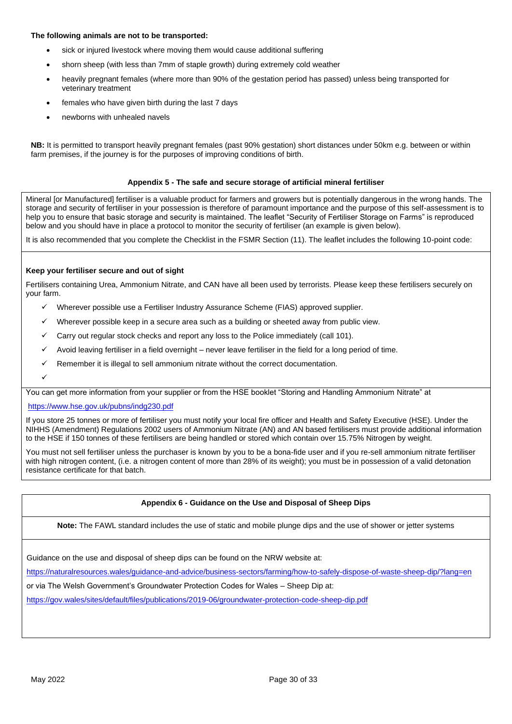#### **The following animals are not to be transported:**

- sick or injured livestock where moving them would cause additional suffering
- shorn sheep (with less than 7mm of staple growth) during extremely cold weather
- heavily pregnant females (where more than 90% of the gestation period has passed) unless being transported for veterinary treatment
- females who have given birth during the last 7 days
- newborns with unhealed navels

**NB:** It is permitted to transport heavily pregnant females (past 90% gestation) short distances under 50km e.g. between or within farm premises, if the journey is for the purposes of improving conditions of birth.

#### **Appendix 5 - The safe and secure storage of artificial mineral fertiliser**

Mineral [or Manufactured] fertiliser is a valuable product for farmers and growers but is potentially dangerous in the wrong hands. The storage and security of fertiliser in your possession is therefore of paramount importance and the purpose of this self-assessment is to help you to ensure that basic storage and security is maintained. The leaflet "Security of Fertiliser Storage on Farms" is reproduced below and you should have in place a protocol to monitor the security of fertiliser (an example is given below).

It is also recommended that you complete the Checklist in the FSMR Section (11). The leaflet includes the following 10-point code:

#### **Keep your fertiliser secure and out of sight**

Fertilisers containing Urea, Ammonium Nitrate, and CAN have all been used by terrorists. Please keep these fertilisers securely on your farm.

- Wherever possible use a Fertiliser Industry Assurance Scheme (FIAS) approved supplier.
- Wherever possible keep in a secure area such as a building or sheeted away from public view.
- Carry out regular stock checks and report any loss to the Police immediately (call 101).
- Avoid leaving fertiliser in a field overnight never leave fertiliser in the field for a long period of time.
- $\checkmark$  Remember it is illegal to sell ammonium nitrate without the correct documentation.
- ✓

You can get more information from your supplier or from the HSE booklet "Storing and Handling Ammonium Nitrate" at

#### https://www.hse.gov.uk/pubns/indg230.pdf

If you store 25 tonnes or more of fertiliser you must notify your local fire officer and Health and Safety Executive (HSE). Under the NIHHS (Amendment) Regulations 2002 users of Ammonium Nitrate (AN) and AN based fertilisers must provide additional information to the HSE if 150 tonnes of these fertilisers are being handled or stored which contain over 15.75% Nitrogen by weight.

You must not sell fertiliser unless the purchaser is known by you to be a bona-fide user and if you re-sell ammonium nitrate fertiliser with high nitrogen content, (i.e. a nitrogen content of more than 28% of its weight); you must be in possession of a valid detonation resistance certificate for that batch.

### **Appendix 6 - Guidance on the Use and Disposal of Sheep Dips**

**Note:** The FAWL standard includes the use of static and mobile plunge dips and the use of shower or jetter systems

Guidance on the use and disposal of sheep dips can be found on the NRW website at:

https://naturalresources.wales/guidance-and-advice/business-sectors/farming/how-to-safely-dispose-of-waste-sheep-dip/?lang=en

or via The Welsh Government's Groundwater Protection Codes for Wales – Sheep Dip at:

https://gov.wales/sites/default/files/publications/2019-06/groundwater-protection-code-sheep-dip.pdf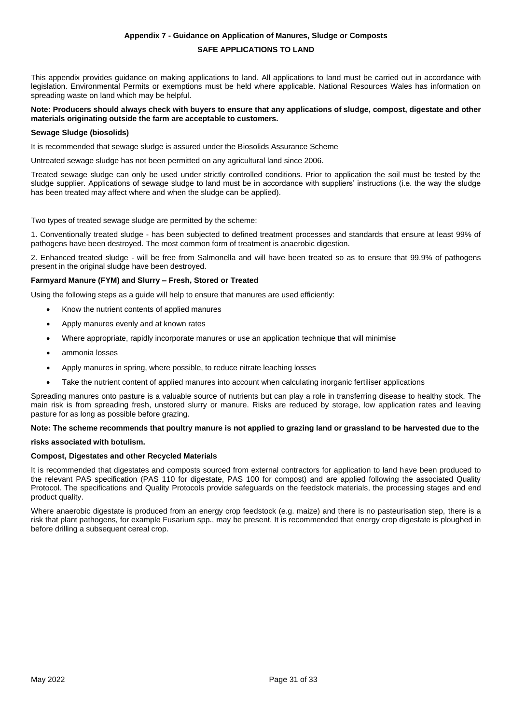#### **Appendix 7 - Guidance on Application of Manures, Sludge or Composts**

#### **SAFE APPLICATIONS TO LAND**

This appendix provides guidance on making applications to land. All applications to land must be carried out in accordance with legislation. Environmental Permits or exemptions must be held where applicable. National Resources Wales has information on spreading waste on land which may be helpful.

#### **Note: Producers should always check with buyers to ensure that any applications of sludge, compost, digestate and other materials originating outside the farm are acceptable to customers.**

#### **Sewage Sludge (biosolids)**

It is recommended that sewage sludge is assured under the Biosolids Assurance Scheme

Untreated sewage sludge has not been permitted on any agricultural land since 2006.

Treated sewage sludge can only be used under strictly controlled conditions. Prior to application the soil must be tested by the sludge supplier. Applications of sewage sludge to land must be in accordance with suppliers' instructions (i.e. the way the sludge has been treated may affect where and when the sludge can be applied).

Two types of treated sewage sludge are permitted by the scheme:

1. Conventionally treated sludge - has been subjected to defined treatment processes and standards that ensure at least 99% of pathogens have been destroyed. The most common form of treatment is anaerobic digestion.

2. Enhanced treated sludge - will be free from Salmonella and will have been treated so as to ensure that 99.9% of pathogens present in the original sludge have been destroyed.

#### **Farmyard Manure (FYM) and Slurry – Fresh, Stored or Treated**

Using the following steps as a guide will help to ensure that manures are used efficiently:

- Know the nutrient contents of applied manures
- Apply manures evenly and at known rates
- Where appropriate, rapidly incorporate manures or use an application technique that will minimise
- ammonia losses
- Apply manures in spring, where possible, to reduce nitrate leaching losses
- Take the nutrient content of applied manures into account when calculating inorganic fertiliser applications

Spreading manures onto pasture is a valuable source of nutrients but can play a role in transferring disease to healthy stock. The main risk is from spreading fresh, unstored slurry or manure. Risks are reduced by storage, low application rates and leaving pasture for as long as possible before grazing.

**Note: The scheme recommends that poultry manure is not applied to grazing land or grassland to be harvested due to the**

### **risks associated with botulism.**

### **Compost, Digestates and other Recycled Materials**

It is recommended that digestates and composts sourced from external contractors for application to land have been produced to the relevant PAS specification (PAS 110 for digestate, PAS 100 for compost) and are applied following the associated Quality Protocol. The specifications and Quality Protocols provide safeguards on the feedstock materials, the processing stages and end product quality.

Where anaerobic digestate is produced from an energy crop feedstock (e.g. maize) and there is no pasteurisation step, there is a risk that plant pathogens, for example Fusarium spp., may be present. It is recommended that energy crop digestate is ploughed in before drilling a subsequent cereal crop.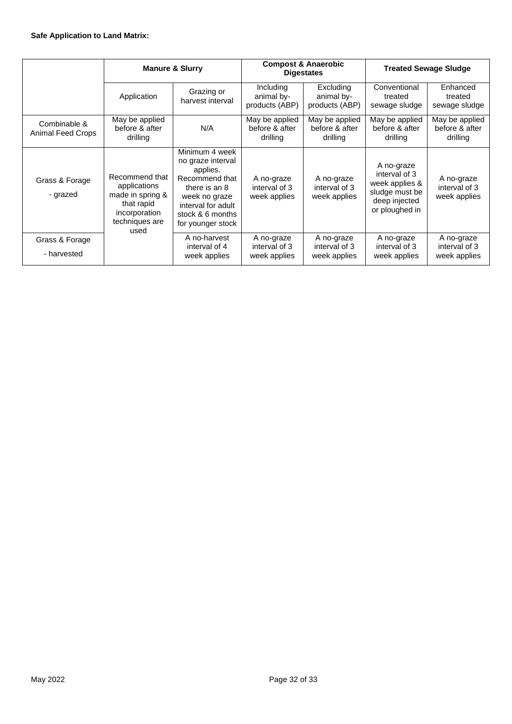|                                   | <b>Manure &amp; Slurry</b>                                                                                  |                                                                                                                                                                    | <b>Compost &amp; Anaerobic</b><br><b>Digestates</b> |                                              | <b>Treated Sewage Sludge</b>                                                                       |                                              |
|-----------------------------------|-------------------------------------------------------------------------------------------------------------|--------------------------------------------------------------------------------------------------------------------------------------------------------------------|-----------------------------------------------------|----------------------------------------------|----------------------------------------------------------------------------------------------------|----------------------------------------------|
|                                   | Application                                                                                                 | Grazing or<br>harvest interval                                                                                                                                     | Including<br>animal by-<br>products (ABP)           | Excluding<br>animal by-<br>products (ABP)    | Conventional<br>treated<br>sewage sludge                                                           | Enhanced<br>treated<br>sewage sludge         |
| Combinable &<br>Animal Feed Crops | May be applied<br>before & after<br>drilling                                                                | N/A                                                                                                                                                                | May be applied<br>before & after<br>drilling        | May be applied<br>before & after<br>drilling | May be applied<br>before & after<br>drilling                                                       | May be applied<br>before & after<br>drilling |
| Grass & Forage<br>- grazed        | Recommend that<br>applications<br>made in spring &<br>that rapid<br>incorporation<br>techniques are<br>used | Minimum 4 week<br>no graze interval<br>applies.<br>Recommend that<br>there is an 8<br>week no graze<br>interval for adult<br>stock & 6 months<br>for younger stock | A no-graze<br>interval of 3<br>week applies         | A no-graze<br>interval of 3<br>week applies  | A no-graze<br>interval of 3<br>week applies &<br>sludge must be<br>deep injected<br>or ploughed in | A no-graze<br>interval of 3<br>week applies  |
| Grass & Forage<br>- harvested     |                                                                                                             | A no-harvest<br>interval of 4<br>week applies                                                                                                                      | A no-graze<br>interval of 3<br>week applies         | A no-graze<br>interval of 3<br>week applies  | A no-graze<br>interval of 3<br>week applies                                                        | A no-graze<br>interval of 3<br>week applies  |